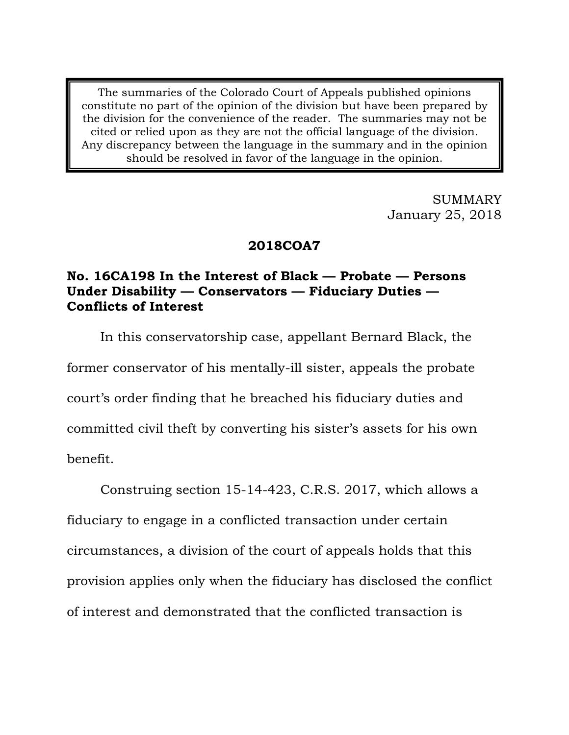The summaries of the Colorado Court of Appeals published opinions constitute no part of the opinion of the division but have been prepared by the division for the convenience of the reader. The summaries may not be cited or relied upon as they are not the official language of the division. Any discrepancy between the language in the summary and in the opinion should be resolved in favor of the language in the opinion.

> SUMMARY January 25, 2018

## **2018COA7**

## **No. 16CA198 In the Interest of Black — Probate — Persons Under Disability — Conservators — Fiduciary Duties — Conflicts of Interest**

In this conservatorship case, appellant Bernard Black, the former conservator of his mentally-ill sister, appeals the probate court's order finding that he breached his fiduciary duties and committed civil theft by converting his sister's assets for his own benefit.

Construing section 15-14-423, C.R.S. 2017, which allows a fiduciary to engage in a conflicted transaction under certain circumstances, a division of the court of appeals holds that this provision applies only when the fiduciary has disclosed the conflict of interest and demonstrated that the conflicted transaction is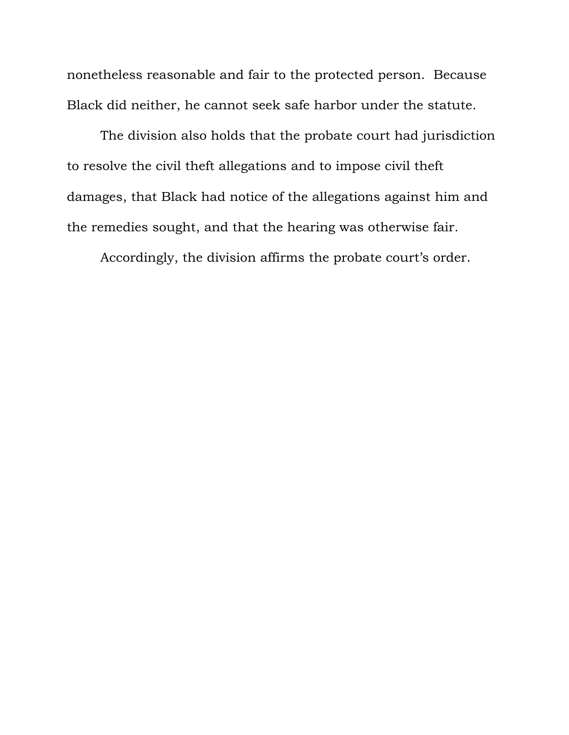nonetheless reasonable and fair to the protected person. Because Black did neither, he cannot seek safe harbor under the statute.

The division also holds that the probate court had jurisdiction to resolve the civil theft allegations and to impose civil theft damages, that Black had notice of the allegations against him and the remedies sought, and that the hearing was otherwise fair.

Accordingly, the division affirms the probate court's order.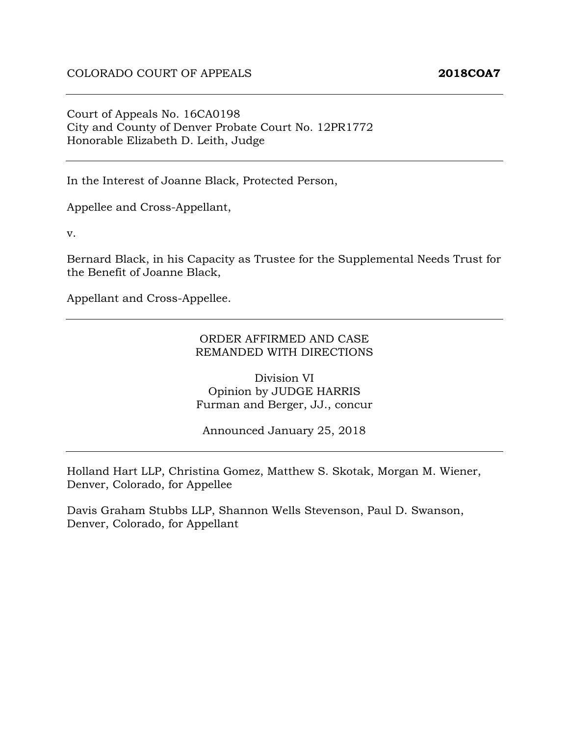Court of Appeals No. 16CA0198 City and County of Denver Probate Court No. 12PR1772 Honorable Elizabeth D. Leith, Judge

In the Interest of Joanne Black, Protected Person,

Appellee and Cross-Appellant,

v.

Bernard Black, in his Capacity as Trustee for the Supplemental Needs Trust for the Benefit of Joanne Black,

Appellant and Cross-Appellee.

#### ORDER AFFIRMED AND CASE REMANDED WITH DIRECTIONS

Division VI Opinion by JUDGE HARRIS Furman and Berger, JJ., concur

Announced January 25, 2018

Holland Hart LLP, Christina Gomez, Matthew S. Skotak, Morgan M. Wiener, Denver, Colorado, for Appellee

Davis Graham Stubbs LLP, Shannon Wells Stevenson, Paul D. Swanson, Denver, Colorado, for Appellant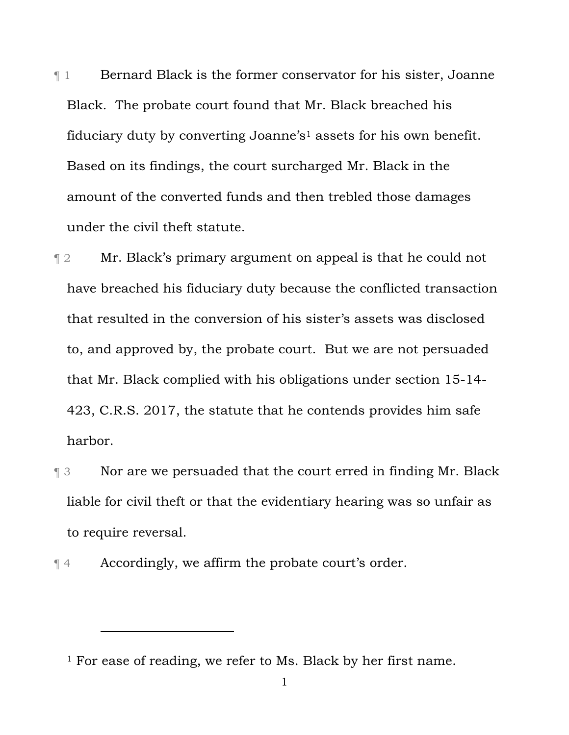¶ 1 Bernard Black is the former conservator for his sister, Joanne Black. The probate court found that Mr. Black breached his fiduciary duty by converting Joanne's<sup>1</sup> assets for his own benefit. Based on its findings, the court surcharged Mr. Black in the amount of the converted funds and then trebled those damages under the civil theft statute.

**Term 2 Mr. Black's primary argument on appeal is that he could not** have breached his fiduciary duty because the conflicted transaction that resulted in the conversion of his sister's assets was disclosed to, and approved by, the probate court. But we are not persuaded that Mr. Black complied with his obligations under section 15-14- 423, C.R.S. 2017, the statute that he contends provides him safe harbor.

**Term 3** Nor are we persuaded that the court erred in finding Mr. Black liable for civil theft or that the evidentiary hearing was so unfair as to require reversal.

¶ 4 Accordingly, we affirm the probate court's order.

l

<sup>&</sup>lt;sup>1</sup> For ease of reading, we refer to Ms. Black by her first name.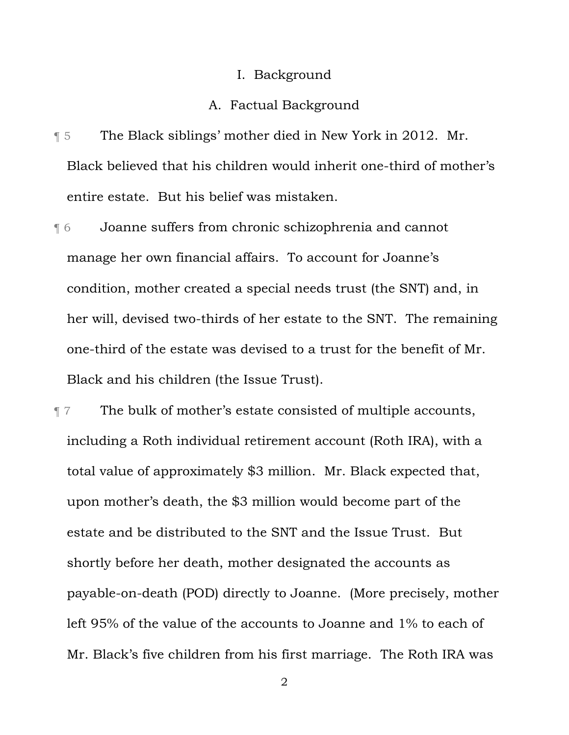#### I. Background

#### A. Factual Background

- ¶ 5 The Black siblings' mother died in New York in 2012. Mr. Black believed that his children would inherit one-third of mother's entire estate. But his belief was mistaken.
- ¶ 6 Joanne suffers from chronic schizophrenia and cannot manage her own financial affairs. To account for Joanne's condition, mother created a special needs trust (the SNT) and, in her will, devised two-thirds of her estate to the SNT. The remaining one-third of the estate was devised to a trust for the benefit of Mr. Black and his children (the Issue Trust).
- $\mathbb{T}$  7 The bulk of mother's estate consisted of multiple accounts, including a Roth individual retirement account (Roth IRA), with a total value of approximately \$3 million. Mr. Black expected that, upon mother's death, the \$3 million would become part of the estate and be distributed to the SNT and the Issue Trust. But shortly before her death, mother designated the accounts as payable-on-death (POD) directly to Joanne. (More precisely, mother left 95% of the value of the accounts to Joanne and 1% to each of Mr. Black's five children from his first marriage. The Roth IRA was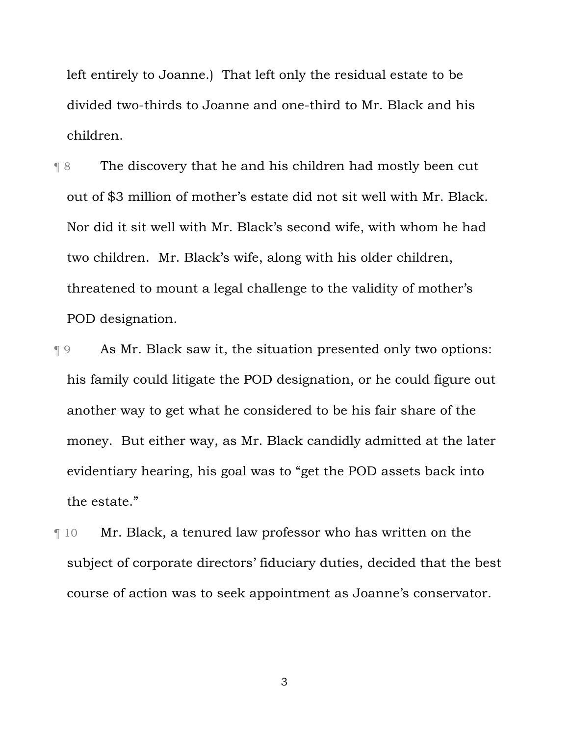left entirely to Joanne.) That left only the residual estate to be divided two-thirds to Joanne and one-third to Mr. Black and his children.

- ¶ 8 The discovery that he and his children had mostly been cut out of \$3 million of mother's estate did not sit well with Mr. Black. Nor did it sit well with Mr. Black's second wife, with whom he had two children. Mr. Black's wife, along with his older children, threatened to mount a legal challenge to the validity of mother's POD designation.
- ¶ 9 As Mr. Black saw it, the situation presented only two options: his family could litigate the POD designation, or he could figure out another way to get what he considered to be his fair share of the money. But either way, as Mr. Black candidly admitted at the later evidentiary hearing, his goal was to "get the POD assets back into the estate."
- ¶ 10 Mr. Black, a tenured law professor who has written on the subject of corporate directors' fiduciary duties, decided that the best course of action was to seek appointment as Joanne's conservator.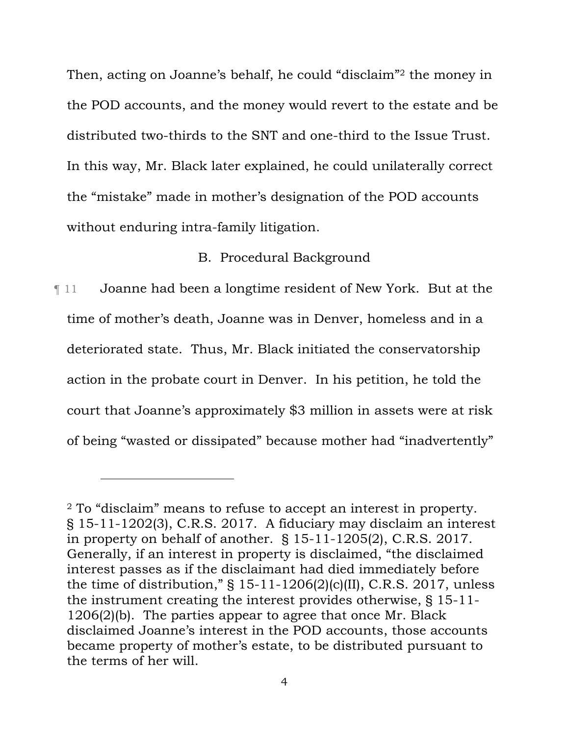Then, acting on Joanne's behalf, he could "disclaim"<sup>2</sup> the money in the POD accounts, and the money would revert to the estate and be distributed two-thirds to the SNT and one-third to the Issue Trust. In this way, Mr. Black later explained, he could unilaterally correct the "mistake" made in mother's designation of the POD accounts without enduring intra-family litigation.

### B. Procedural Background

¶ 11 Joanne had been a longtime resident of New York. But at the time of mother's death, Joanne was in Denver, homeless and in a deteriorated state. Thus, Mr. Black initiated the conservatorship action in the probate court in Denver. In his petition, he told the court that Joanne's approximately \$3 million in assets were at risk of being "wasted or dissipated" because mother had "inadvertently"

l

<sup>2</sup> To "disclaim" means to refuse to accept an interest in property. § 15-11-1202(3), C.R.S. 2017. A fiduciary may disclaim an interest in property on behalf of another. § 15-11-1205(2), C.R.S. 2017. Generally, if an interest in property is disclaimed, "the disclaimed interest passes as if the disclaimant had died immediately before the time of distribution,"  $\S$  15-11-1206(2)(c)(II), C.R.S. 2017, unless the instrument creating the interest provides otherwise, § 15-11- 1206(2)(b). The parties appear to agree that once Mr. Black disclaimed Joanne's interest in the POD accounts, those accounts became property of mother's estate, to be distributed pursuant to the terms of her will.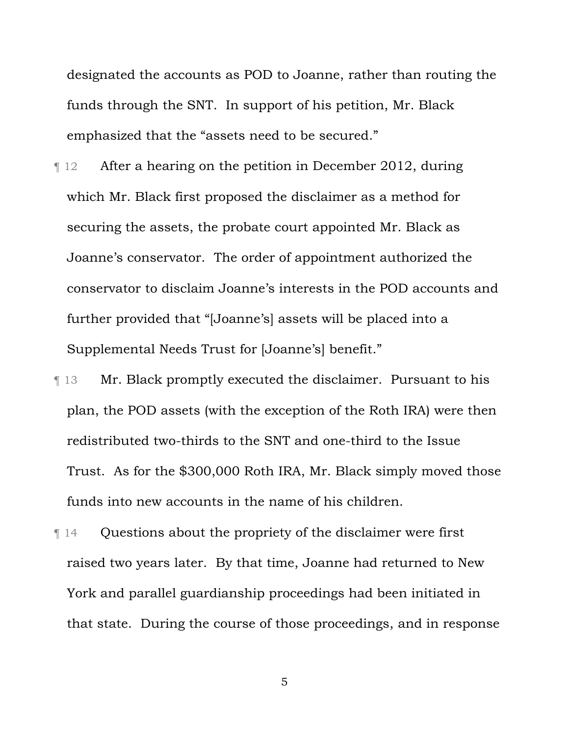designated the accounts as POD to Joanne, rather than routing the funds through the SNT. In support of his petition, Mr. Black emphasized that the "assets need to be secured."

- ¶ 12 After a hearing on the petition in December 2012, during which Mr. Black first proposed the disclaimer as a method for securing the assets, the probate court appointed Mr. Black as Joanne's conservator. The order of appointment authorized the conservator to disclaim Joanne's interests in the POD accounts and further provided that "[Joanne's] assets will be placed into a Supplemental Needs Trust for [Joanne's] benefit."
- ¶ 13 Mr. Black promptly executed the disclaimer. Pursuant to his plan, the POD assets (with the exception of the Roth IRA) were then redistributed two-thirds to the SNT and one-third to the Issue Trust. As for the \$300,000 Roth IRA, Mr. Black simply moved those funds into new accounts in the name of his children.
- ¶ 14 Questions about the propriety of the disclaimer were first raised two years later. By that time, Joanne had returned to New York and parallel guardianship proceedings had been initiated in that state. During the course of those proceedings, and in response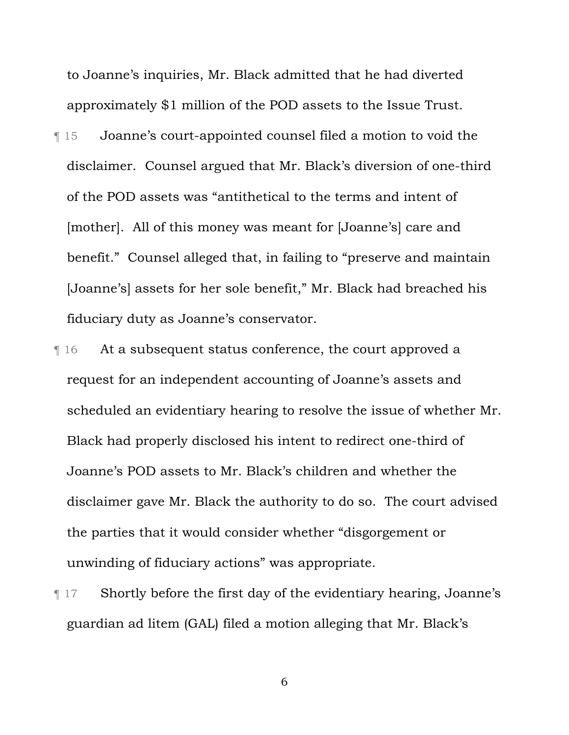to Joanne's inquiries, Mr. Black admitted that he had diverted approximately \$1 million of the POD assets to the Issue Trust.

¶ 15 Joanne's court-appointed counsel filed a motion to void the disclaimer. Counsel argued that Mr. Black's diversion of one-third of the POD assets was "antithetical to the terms and intent of [mother]. All of this money was meant for [Joanne's] care and benefit." Counsel alleged that, in failing to "preserve and maintain [Joanne's] assets for her sole benefit," Mr. Black had breached his fiduciary duty as Joanne's conservator.

- ¶ 16 At a subsequent status conference, the court approved a request for an independent accounting of Joanne's assets and scheduled an evidentiary hearing to resolve the issue of whether Mr. Black had properly disclosed his intent to redirect one-third of Joanne's POD assets to Mr. Black's children and whether the disclaimer gave Mr. Black the authority to do so. The court advised the parties that it would consider whether "disgorgement or unwinding of fiduciary actions" was appropriate.
- ¶ 17 Shortly before the first day of the evidentiary hearing, Joanne's guardian ad litem (GAL) filed a motion alleging that Mr. Black's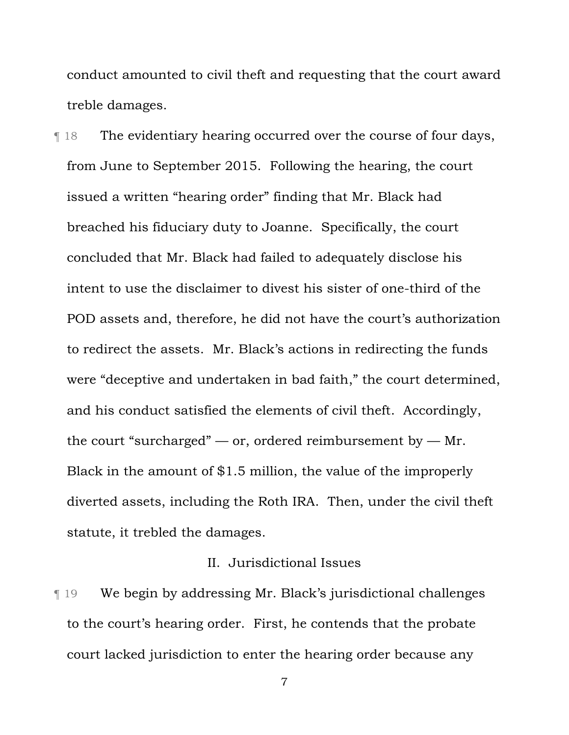conduct amounted to civil theft and requesting that the court award treble damages.

¶ 18 The evidentiary hearing occurred over the course of four days, from June to September 2015. Following the hearing, the court issued a written "hearing order" finding that Mr. Black had breached his fiduciary duty to Joanne. Specifically, the court concluded that Mr. Black had failed to adequately disclose his intent to use the disclaimer to divest his sister of one-third of the POD assets and, therefore, he did not have the court's authorization to redirect the assets. Mr. Black's actions in redirecting the funds were "deceptive and undertaken in bad faith," the court determined, and his conduct satisfied the elements of civil theft. Accordingly, the court "surcharged" — or, ordered reimbursement by — Mr. Black in the amount of \$1.5 million, the value of the improperly diverted assets, including the Roth IRA. Then, under the civil theft statute, it trebled the damages.

### II. Jurisdictional Issues

¶ 19 We begin by addressing Mr. Black's jurisdictional challenges to the court's hearing order. First, he contends that the probate court lacked jurisdiction to enter the hearing order because any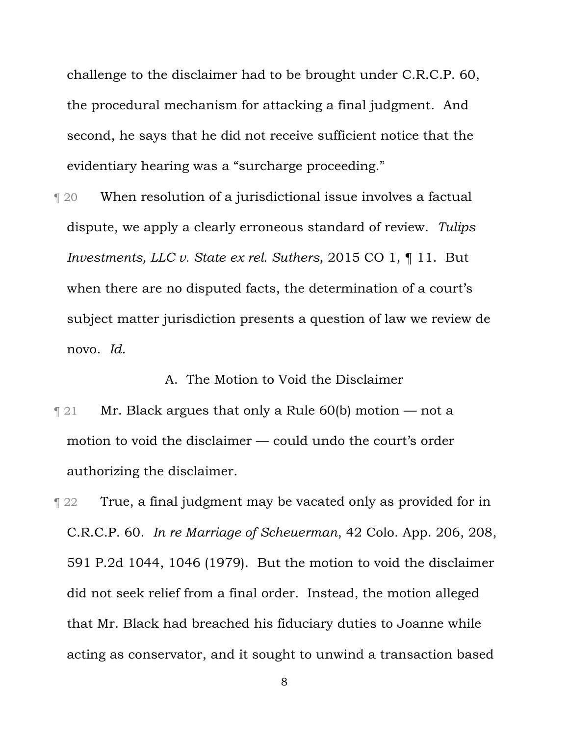challenge to the disclaimer had to be brought under C.R.C.P. 60, the procedural mechanism for attacking a final judgment. And second, he says that he did not receive sufficient notice that the evidentiary hearing was a "surcharge proceeding."

¶ 20 When resolution of a jurisdictional issue involves a factual dispute, we apply a clearly erroneous standard of review. *Tulips Investments, LLC v. State ex rel. Suthers*, 2015 CO 1, ¶ 11. But when there are no disputed facts, the determination of a court's subject matter jurisdiction presents a question of law we review de novo. *Id.*

A. The Motion to Void the Disclaimer

- $\lceil 21 \rceil$  Mr. Black argues that only a Rule 60(b) motion not a motion to void the disclaimer — could undo the court's order authorizing the disclaimer.
- ¶ 22 True, a final judgment may be vacated only as provided for in C.R.C.P. 60. *In re Marriage of Scheuerman*, 42 Colo. App. 206, 208, 591 P.2d 1044, 1046 (1979). But the motion to void the disclaimer did not seek relief from a final order. Instead, the motion alleged that Mr. Black had breached his fiduciary duties to Joanne while acting as conservator, and it sought to unwind a transaction based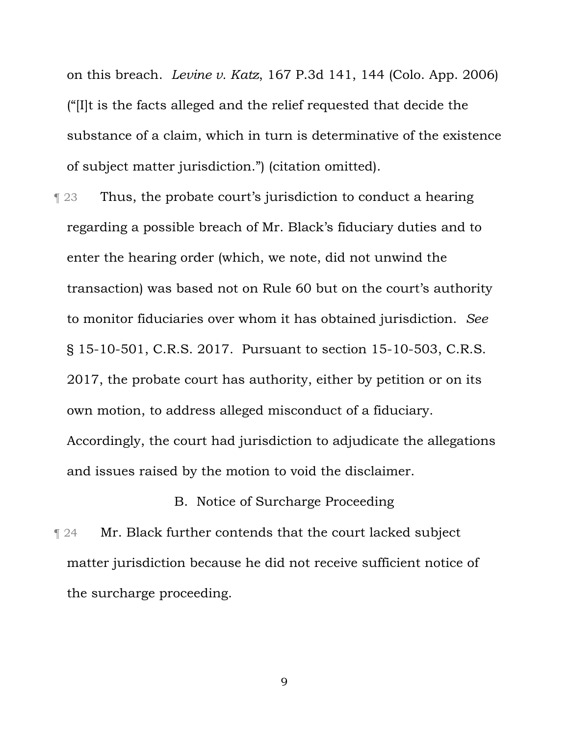on this breach. *Levine v. Katz*, 167 P.3d 141, 144 (Colo. App. 2006) ("[I]t is the facts alleged and the relief requested that decide the substance of a claim, which in turn is determinative of the existence of subject matter jurisdiction.") (citation omitted).

**Thus, the probate court's jurisdiction to conduct a hearing** regarding a possible breach of Mr. Black's fiduciary duties and to enter the hearing order (which, we note, did not unwind the transaction) was based not on Rule 60 but on the court's authority to monitor fiduciaries over whom it has obtained jurisdiction. *See*  § 15-10-501, C.R.S. 2017. Pursuant to section 15-10-503, C.R.S. 2017, the probate court has authority, either by petition or on its own motion, to address alleged misconduct of a fiduciary. Accordingly, the court had jurisdiction to adjudicate the allegations and issues raised by the motion to void the disclaimer.

B. Notice of Surcharge Proceeding

¶ 24 Mr. Black further contends that the court lacked subject matter jurisdiction because he did not receive sufficient notice of the surcharge proceeding.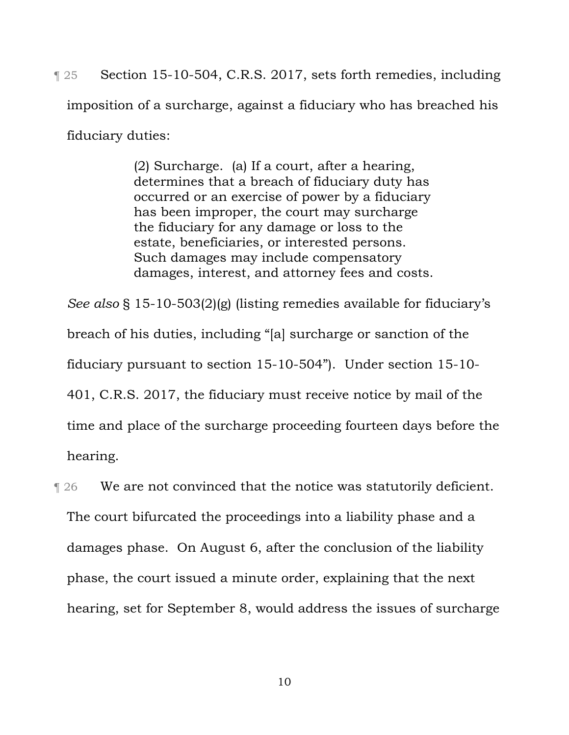¶ 25 Section 15-10-504, C.R.S. 2017, sets forth remedies, including imposition of a surcharge, against a fiduciary who has breached his fiduciary duties:

> (2) Surcharge. (a) If a court, after a hearing, determines that a breach of fiduciary duty has occurred or an exercise of power by a fiduciary has been improper, the court may surcharge the fiduciary for any damage or loss to the estate, beneficiaries, or interested persons. Such damages may include compensatory damages, interest, and attorney fees and costs.

*See also* § 15-10-503(2)(g) (listing remedies available for fiduciary's breach of his duties, including "[a] surcharge or sanction of the fiduciary pursuant to section 15-10-504"). Under section 15-10- 401, C.R.S. 2017, the fiduciary must receive notice by mail of the time and place of the surcharge proceeding fourteen days before the hearing.

**T** 26 We are not convinced that the notice was statutorily deficient. The court bifurcated the proceedings into a liability phase and a damages phase. On August 6, after the conclusion of the liability phase, the court issued a minute order, explaining that the next hearing, set for September 8, would address the issues of surcharge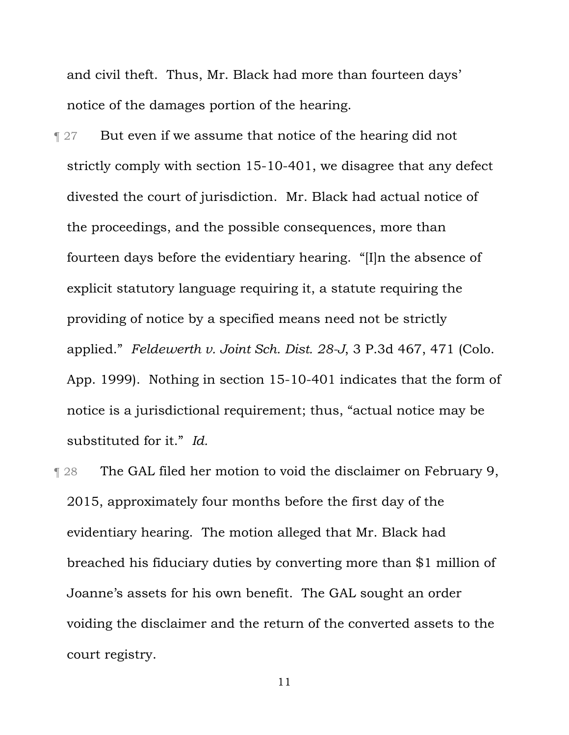and civil theft. Thus, Mr. Black had more than fourteen days' notice of the damages portion of the hearing.

**Text** 27 But even if we assume that notice of the hearing did not strictly comply with section 15-10-401, we disagree that any defect divested the court of jurisdiction. Mr. Black had actual notice of the proceedings, and the possible consequences, more than fourteen days before the evidentiary hearing. "[I]n the absence of explicit statutory language requiring it, a statute requiring the providing of notice by a specified means need not be strictly applied." *Feldewerth v. Joint Sch. Dist. 28-J*, 3 P.3d 467, 471 (Colo. App. 1999). Nothing in section 15-10-401 indicates that the form of notice is a jurisdictional requirement; thus, "actual notice may be substituted for it." *Id.* 

¶ 28 The GAL filed her motion to void the disclaimer on February 9, 2015, approximately four months before the first day of the evidentiary hearing. The motion alleged that Mr. Black had breached his fiduciary duties by converting more than \$1 million of Joanne's assets for his own benefit. The GAL sought an order voiding the disclaimer and the return of the converted assets to the court registry.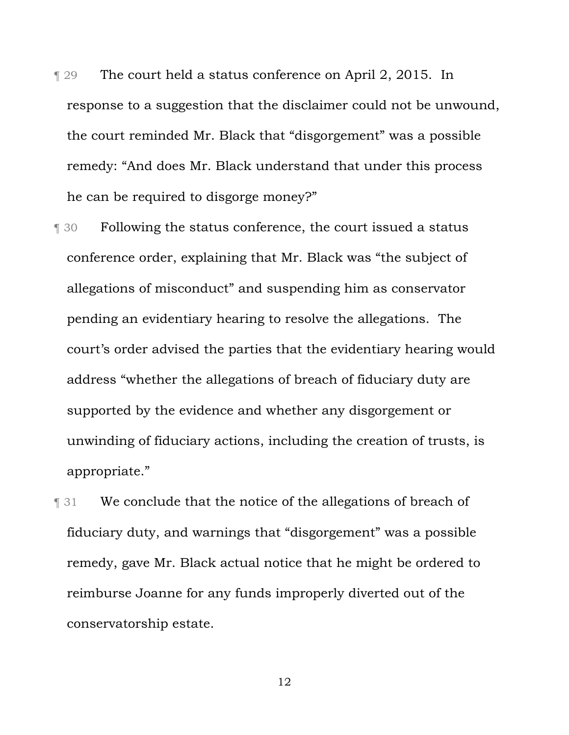**The court held a status conference on April 2, 2015.** In response to a suggestion that the disclaimer could not be unwound, the court reminded Mr. Black that "disgorgement" was a possible remedy: "And does Mr. Black understand that under this process he can be required to disgorge money?"

¶ 30 Following the status conference, the court issued a status conference order, explaining that Mr. Black was "the subject of allegations of misconduct" and suspending him as conservator pending an evidentiary hearing to resolve the allegations. The court's order advised the parties that the evidentiary hearing would address "whether the allegations of breach of fiduciary duty are supported by the evidence and whether any disgorgement or unwinding of fiduciary actions, including the creation of trusts, is appropriate."

¶ 31 We conclude that the notice of the allegations of breach of fiduciary duty, and warnings that "disgorgement" was a possible remedy, gave Mr. Black actual notice that he might be ordered to reimburse Joanne for any funds improperly diverted out of the conservatorship estate.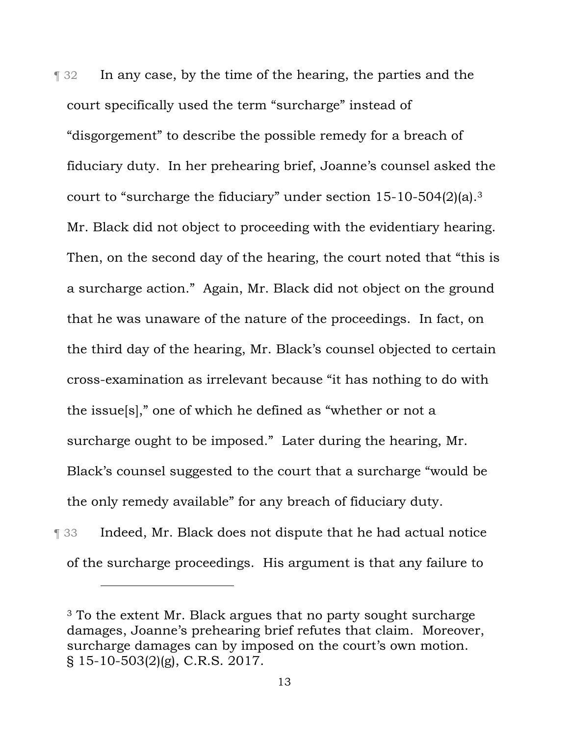¶ 32 In any case, by the time of the hearing, the parties and the court specifically used the term "surcharge" instead of "disgorgement" to describe the possible remedy for a breach of fiduciary duty. In her prehearing brief, Joanne's counsel asked the court to "surcharge the fiduciary" under section 15-10-504(2)(a).<sup>3</sup> Mr. Black did not object to proceeding with the evidentiary hearing. Then, on the second day of the hearing, the court noted that "this is a surcharge action." Again, Mr. Black did not object on the ground that he was unaware of the nature of the proceedings. In fact, on the third day of the hearing, Mr. Black's counsel objected to certain cross-examination as irrelevant because "it has nothing to do with the issue[s]," one of which he defined as "whether or not a surcharge ought to be imposed." Later during the hearing, Mr. Black's counsel suggested to the court that a surcharge "would be the only remedy available" for any breach of fiduciary duty.

¶ 33 Indeed, Mr. Black does not dispute that he had actual notice of the surcharge proceedings. His argument is that any failure to

l

<sup>&</sup>lt;sup>3</sup> To the extent Mr. Black argues that no party sought surcharge damages, Joanne's prehearing brief refutes that claim. Moreover, surcharge damages can by imposed on the court's own motion. § 15-10-503(2)(g), C.R.S. 2017.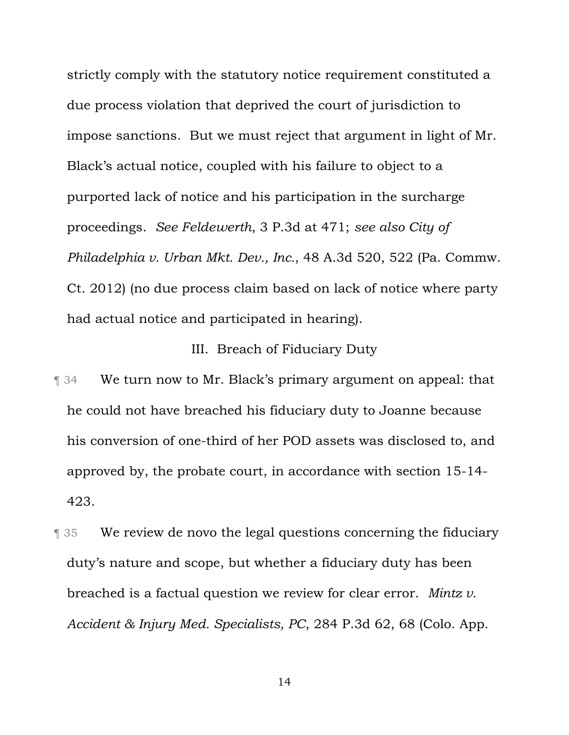strictly comply with the statutory notice requirement constituted a due process violation that deprived the court of jurisdiction to impose sanctions. But we must reject that argument in light of Mr. Black's actual notice, coupled with his failure to object to a purported lack of notice and his participation in the surcharge proceedings. *See Feldewerth*, 3 P.3d at 471; *see also City of Philadelphia v. Urban Mkt. Dev., Inc.*, 48 A.3d 520, 522 (Pa. Commw. Ct. 2012) (no due process claim based on lack of notice where party had actual notice and participated in hearing).

## III. Breach of Fiduciary Duty

- **T** 34 We turn now to Mr. Black's primary argument on appeal: that he could not have breached his fiduciary duty to Joanne because his conversion of one-third of her POD assets was disclosed to, and approved by, the probate court, in accordance with section 15-14- 423.
- ¶ 35 We review de novo the legal questions concerning the fiduciary duty's nature and scope, but whether a fiduciary duty has been breached is a factual question we review for clear error. *Mintz v. Accident & Injury Med. Specialists, PC*, 284 P.3d 62, 68 (Colo. App.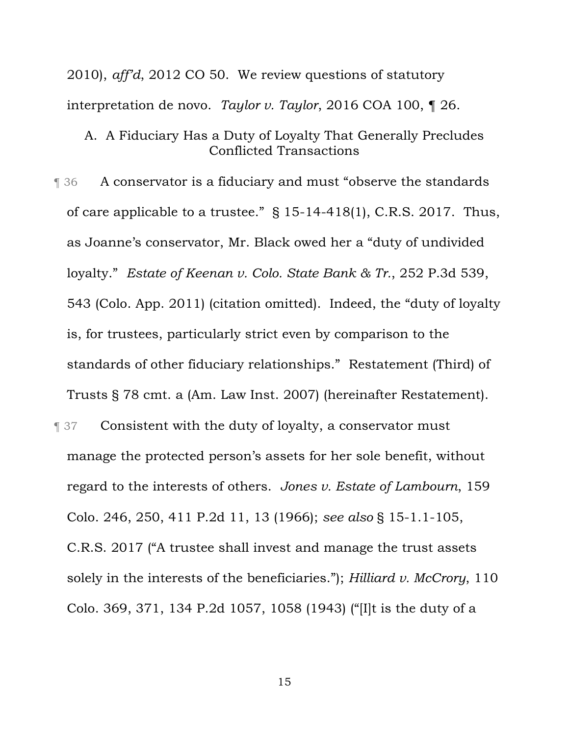2010), *aff'd*, 2012 CO 50. We review questions of statutory interpretation de novo. *Taylor v. Taylor*, 2016 COA 100, ¶ 26.

A. A Fiduciary Has a Duty of Loyalty That Generally Precludes Conflicted Transactions

- ¶ 36 A conservator is a fiduciary and must "observe the standards of care applicable to a trustee." § 15-14-418(1), C.R.S. 2017. Thus, as Joanne's conservator, Mr. Black owed her a "duty of undivided loyalty." *Estate of Keenan v. Colo. State Bank & Tr.*, 252 P.3d 539, 543 (Colo. App. 2011) (citation omitted). Indeed, the "duty of loyalty is, for trustees, particularly strict even by comparison to the standards of other fiduciary relationships." Restatement (Third) of Trusts § 78 cmt. a (Am. Law Inst. 2007) (hereinafter Restatement).
- **Text** 37 Consistent with the duty of loyalty, a conservator must manage the protected person's assets for her sole benefit, without regard to the interests of others. *Jones v. Estate of Lambourn*, 159 Colo. 246, 250, 411 P.2d 11, 13 (1966); *see also* § 15-1.1-105, C.R.S. 2017 ("A trustee shall invest and manage the trust assets solely in the interests of the beneficiaries."); *Hilliard v. McCrory*, 110 Colo. 369, 371, 134 P.2d 1057, 1058 (1943) ("[I]t is the duty of a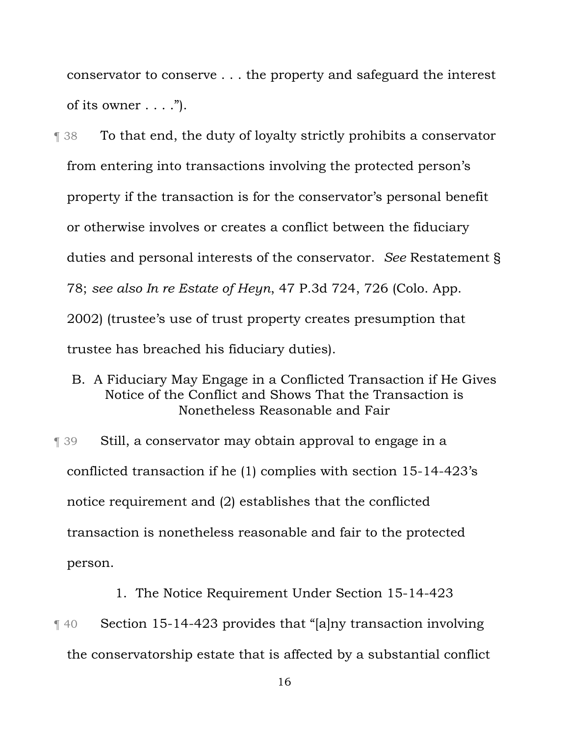conservator to conserve . . . the property and safeguard the interest of its owner  $\dots$ .").

**The To that end, the duty of loyalty strictly prohibits a conservator** from entering into transactions involving the protected person's property if the transaction is for the conservator's personal benefit or otherwise involves or creates a conflict between the fiduciary duties and personal interests of the conservator. *See* Restatement § 78; *see also In re Estate of Heyn*, 47 P.3d 724, 726 (Colo. App. 2002) (trustee's use of trust property creates presumption that trustee has breached his fiduciary duties).

B. A Fiduciary May Engage in a Conflicted Transaction if He Gives Notice of the Conflict and Shows That the Transaction is Nonetheless Reasonable and Fair

¶ 39 Still, a conservator may obtain approval to engage in a conflicted transaction if he (1) complies with section 15-14-423's notice requirement and (2) establishes that the conflicted transaction is nonetheless reasonable and fair to the protected person.

1. The Notice Requirement Under Section 15-14-423

¶ 40 Section 15-14-423 provides that "[a]ny transaction involving the conservatorship estate that is affected by a substantial conflict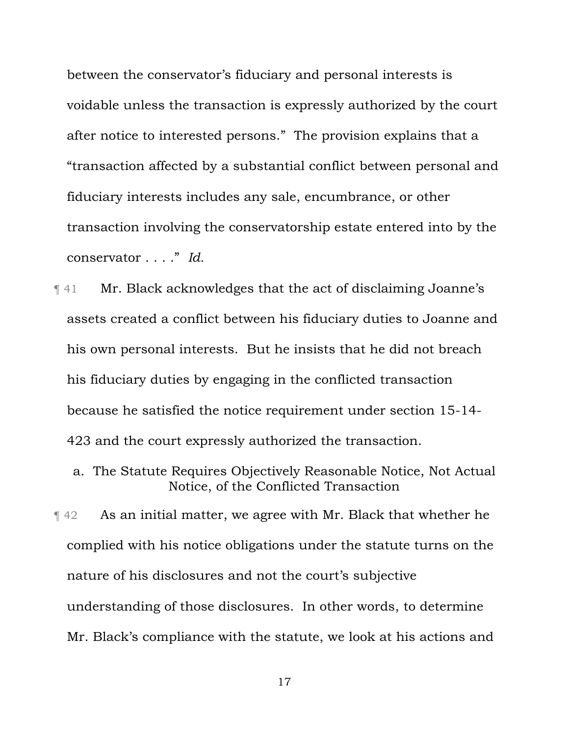between the conservator's fiduciary and personal interests is voidable unless the transaction is expressly authorized by the court after notice to interested persons." The provision explains that a "transaction affected by a substantial conflict between personal and fiduciary interests includes any sale, encumbrance, or other transaction involving the conservatorship estate entered into by the conservator . . . ." *Id.* 

¶ 41 Mr. Black acknowledges that the act of disclaiming Joanne's assets created a conflict between his fiduciary duties to Joanne and his own personal interests. But he insists that he did not breach his fiduciary duties by engaging in the conflicted transaction because he satisfied the notice requirement under section 15-14- 423 and the court expressly authorized the transaction.

a. The Statute Requires Objectively Reasonable Notice, Not Actual Notice, of the Conflicted Transaction

¶ 42 As an initial matter, we agree with Mr. Black that whether he complied with his notice obligations under the statute turns on the nature of his disclosures and not the court's subjective understanding of those disclosures. In other words, to determine Mr. Black's compliance with the statute, we look at his actions and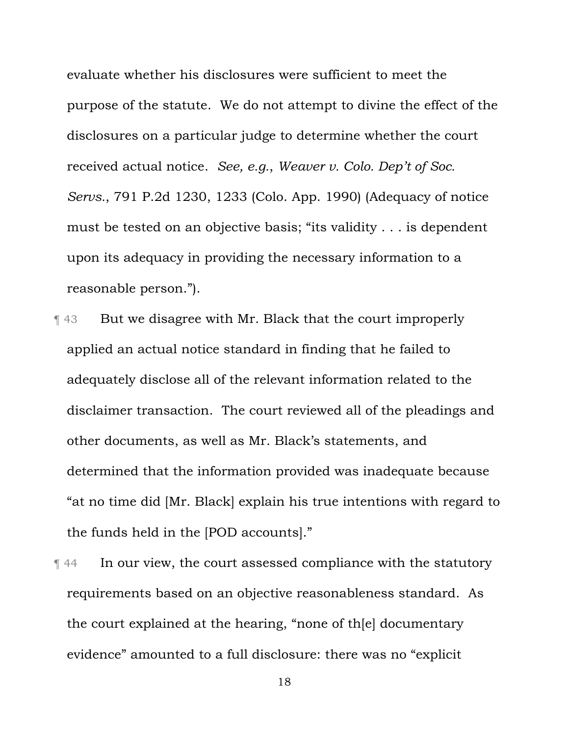evaluate whether his disclosures were sufficient to meet the purpose of the statute. We do not attempt to divine the effect of the disclosures on a particular judge to determine whether the court received actual notice. *See, e.g.*, *Weaver v. Colo. Dep't of Soc. Servs.*, 791 P.2d 1230, 1233 (Colo. App. 1990) (Adequacy of notice must be tested on an objective basis; "its validity . . . is dependent upon its adequacy in providing the necessary information to a reasonable person.").

¶ 43 But we disagree with Mr. Black that the court improperly applied an actual notice standard in finding that he failed to adequately disclose all of the relevant information related to the disclaimer transaction. The court reviewed all of the pleadings and other documents, as well as Mr. Black's statements, and determined that the information provided was inadequate because "at no time did [Mr. Black] explain his true intentions with regard to the funds held in the [POD accounts]."

¶ 44 In our view, the court assessed compliance with the statutory requirements based on an objective reasonableness standard. As the court explained at the hearing, "none of th[e] documentary evidence" amounted to a full disclosure: there was no "explicit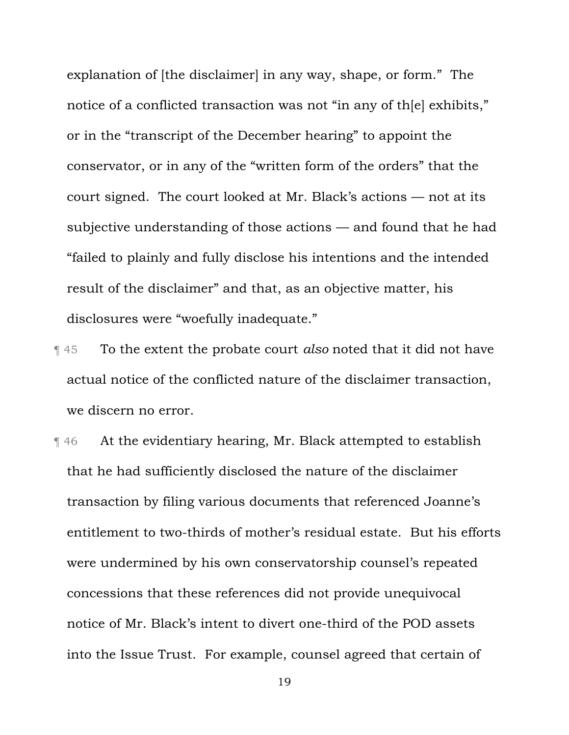explanation of [the disclaimer] in any way, shape, or form." The notice of a conflicted transaction was not "in any of th[e] exhibits," or in the "transcript of the December hearing" to appoint the conservator, or in any of the "written form of the orders" that the court signed. The court looked at Mr. Black's actions — not at its subjective understanding of those actions — and found that he had "failed to plainly and fully disclose his intentions and the intended result of the disclaimer" and that, as an objective matter, his disclosures were "woefully inadequate."

- ¶ 45 To the extent the probate court *also* noted that it did not have actual notice of the conflicted nature of the disclaimer transaction, we discern no error.
- ¶ 46 At the evidentiary hearing, Mr. Black attempted to establish that he had sufficiently disclosed the nature of the disclaimer transaction by filing various documents that referenced Joanne's entitlement to two-thirds of mother's residual estate. But his efforts were undermined by his own conservatorship counsel's repeated concessions that these references did not provide unequivocal notice of Mr. Black's intent to divert one-third of the POD assets into the Issue Trust. For example, counsel agreed that certain of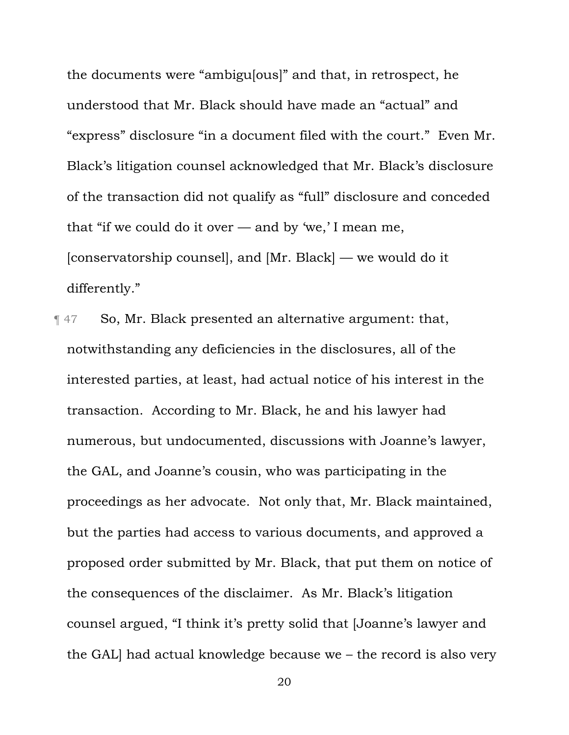the documents were "ambigu[ous]" and that, in retrospect, he understood that Mr. Black should have made an "actual" and "express" disclosure "in a document filed with the court." Even Mr. Black's litigation counsel acknowledged that Mr. Black's disclosure of the transaction did not qualify as "full" disclosure and conceded that "if we could do it over — and by 'we,' I mean me, [conservatorship counsel], and [Mr. Black] — we would do it differently."

¶ 47 So, Mr. Black presented an alternative argument: that, notwithstanding any deficiencies in the disclosures, all of the interested parties, at least, had actual notice of his interest in the transaction. According to Mr. Black, he and his lawyer had numerous, but undocumented, discussions with Joanne's lawyer, the GAL, and Joanne's cousin, who was participating in the proceedings as her advocate. Not only that, Mr. Black maintained, but the parties had access to various documents, and approved a proposed order submitted by Mr. Black, that put them on notice of the consequences of the disclaimer. As Mr. Black's litigation counsel argued, "I think it's pretty solid that [Joanne's lawyer and the GAL] had actual knowledge because we – the record is also very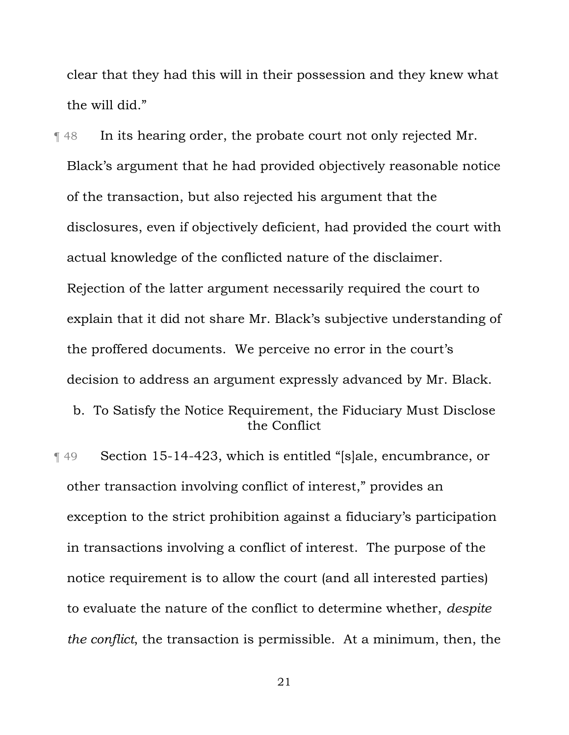clear that they had this will in their possession and they knew what the will did."

¶ 48 In its hearing order, the probate court not only rejected Mr. Black's argument that he had provided objectively reasonable notice of the transaction, but also rejected his argument that the disclosures, even if objectively deficient, had provided the court with actual knowledge of the conflicted nature of the disclaimer. Rejection of the latter argument necessarily required the court to explain that it did not share Mr. Black's subjective understanding of the proffered documents. We perceive no error in the court's decision to address an argument expressly advanced by Mr. Black.

b. To Satisfy the Notice Requirement, the Fiduciary Must Disclose the Conflict

¶ 49 Section 15-14-423, which is entitled "[s]ale, encumbrance, or other transaction involving conflict of interest," provides an exception to the strict prohibition against a fiduciary's participation in transactions involving a conflict of interest. The purpose of the notice requirement is to allow the court (and all interested parties) to evaluate the nature of the conflict to determine whether, *despite the conflict*, the transaction is permissible. At a minimum, then, the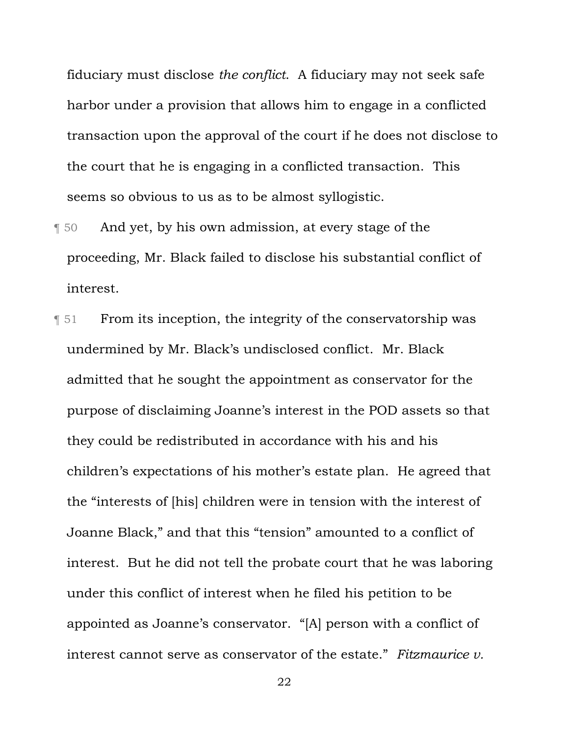fiduciary must disclose *the conflict*. A fiduciary may not seek safe harbor under a provision that allows him to engage in a conflicted transaction upon the approval of the court if he does not disclose to the court that he is engaging in a conflicted transaction. This seems so obvious to us as to be almost syllogistic.

- ¶ 50 And yet, by his own admission, at every stage of the proceeding, Mr. Black failed to disclose his substantial conflict of interest.
- ¶ 51 From its inception, the integrity of the conservatorship was undermined by Mr. Black's undisclosed conflict. Mr. Black admitted that he sought the appointment as conservator for the purpose of disclaiming Joanne's interest in the POD assets so that they could be redistributed in accordance with his and his children's expectations of his mother's estate plan. He agreed that the "interests of [his] children were in tension with the interest of Joanne Black," and that this "tension" amounted to a conflict of interest. But he did not tell the probate court that he was laboring under this conflict of interest when he filed his petition to be appointed as Joanne's conservator. "[A] person with a conflict of interest cannot serve as conservator of the estate." *Fitzmaurice v.*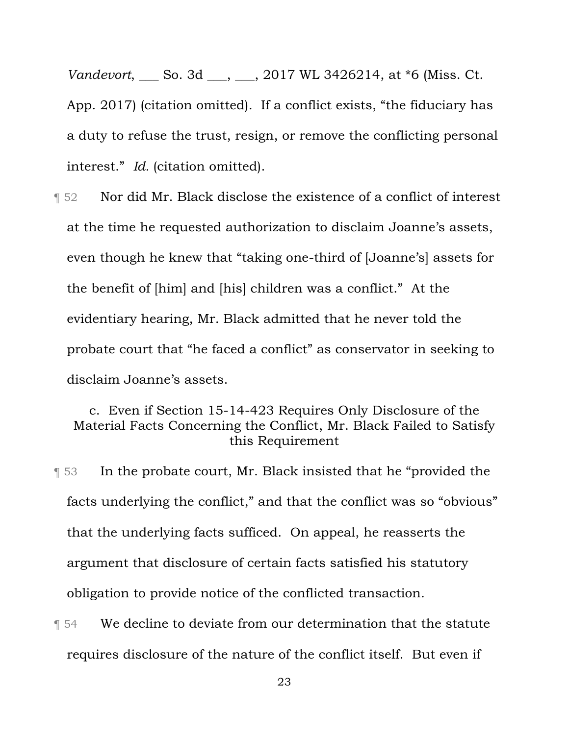*Vandevort*, \_\_\_ So. 3d \_\_\_, \_\_\_, 2017 WL 3426214, at \*6 (Miss. Ct. App. 2017) (citation omitted). If a conflict exists, "the fiduciary has a duty to refuse the trust, resign, or remove the conflicting personal interest." *Id.* (citation omitted).

¶ 52 Nor did Mr. Black disclose the existence of a conflict of interest at the time he requested authorization to disclaim Joanne's assets, even though he knew that "taking one-third of [Joanne's] assets for the benefit of [him] and [his] children was a conflict." At the evidentiary hearing, Mr. Black admitted that he never told the probate court that "he faced a conflict" as conservator in seeking to disclaim Joanne's assets.

## c. Even if Section 15-14-423 Requires Only Disclosure of the Material Facts Concerning the Conflict, Mr. Black Failed to Satisfy this Requirement

¶ 53 In the probate court, Mr. Black insisted that he "provided the facts underlying the conflict," and that the conflict was so "obvious" that the underlying facts sufficed. On appeal, he reasserts the argument that disclosure of certain facts satisfied his statutory obligation to provide notice of the conflicted transaction.

¶ 54 We decline to deviate from our determination that the statute requires disclosure of the nature of the conflict itself. But even if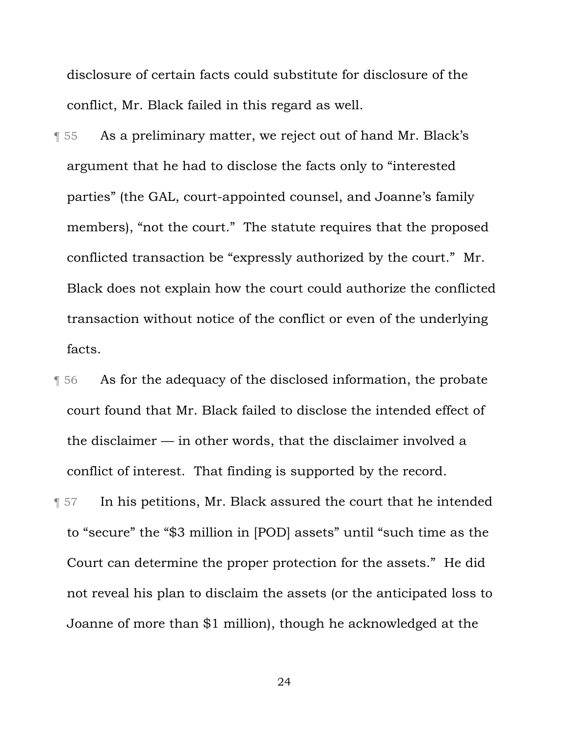disclosure of certain facts could substitute for disclosure of the conflict, Mr. Black failed in this regard as well.

- ¶ 55 As a preliminary matter, we reject out of hand Mr. Black's argument that he had to disclose the facts only to "interested parties" (the GAL, court-appointed counsel, and Joanne's family members), "not the court." The statute requires that the proposed conflicted transaction be "expressly authorized by the court." Mr. Black does not explain how the court could authorize the conflicted transaction without notice of the conflict or even of the underlying facts.
- ¶ 56 As for the adequacy of the disclosed information, the probate court found that Mr. Black failed to disclose the intended effect of the disclaimer — in other words, that the disclaimer involved a conflict of interest. That finding is supported by the record.
- ¶ 57 In his petitions, Mr. Black assured the court that he intended to "secure" the "\$3 million in [POD] assets" until "such time as the Court can determine the proper protection for the assets." He did not reveal his plan to disclaim the assets (or the anticipated loss to Joanne of more than \$1 million), though he acknowledged at the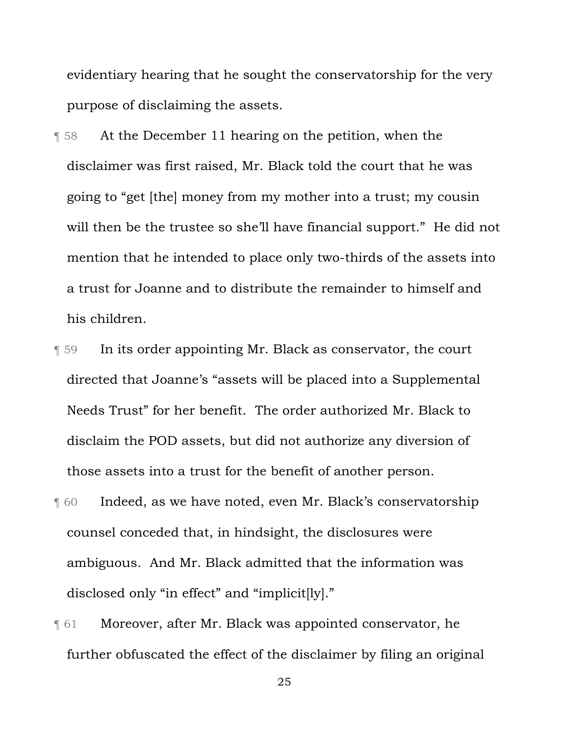evidentiary hearing that he sought the conservatorship for the very purpose of disclaiming the assets.

- ¶ 58 At the December 11 hearing on the petition, when the disclaimer was first raised, Mr. Black told the court that he was going to "get [the] money from my mother into a trust; my cousin will then be the trustee so she'll have financial support." He did not mention that he intended to place only two-thirds of the assets into a trust for Joanne and to distribute the remainder to himself and his children.
- ¶ 59 In its order appointing Mr. Black as conservator, the court directed that Joanne's "assets will be placed into a Supplemental Needs Trust" for her benefit. The order authorized Mr. Black to disclaim the POD assets, but did not authorize any diversion of those assets into a trust for the benefit of another person.
- ¶ 60 Indeed, as we have noted, even Mr. Black's conservatorship counsel conceded that, in hindsight, the disclosures were ambiguous. And Mr. Black admitted that the information was disclosed only "in effect" and "implicit[ly]."
- ¶ 61 Moreover, after Mr. Black was appointed conservator, he further obfuscated the effect of the disclaimer by filing an original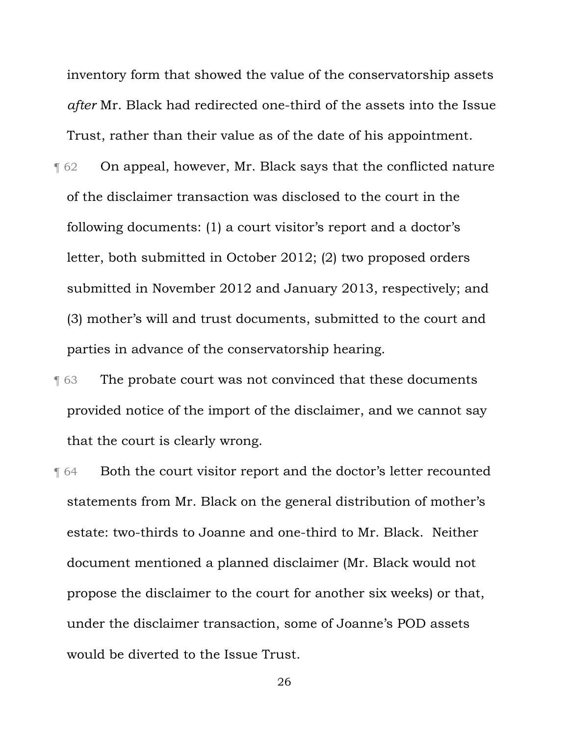inventory form that showed the value of the conservatorship assets *after* Mr. Black had redirected one-third of the assets into the Issue Trust, rather than their value as of the date of his appointment.

- ¶ 62 On appeal, however, Mr. Black says that the conflicted nature of the disclaimer transaction was disclosed to the court in the following documents: (1) a court visitor's report and a doctor's letter, both submitted in October 2012; (2) two proposed orders submitted in November 2012 and January 2013, respectively; and (3) mother's will and trust documents, submitted to the court and parties in advance of the conservatorship hearing.
- **The probate court was not convinced that these documents** provided notice of the import of the disclaimer, and we cannot say that the court is clearly wrong.
- ¶ 64 Both the court visitor report and the doctor's letter recounted statements from Mr. Black on the general distribution of mother's estate: two-thirds to Joanne and one-third to Mr. Black. Neither document mentioned a planned disclaimer (Mr. Black would not propose the disclaimer to the court for another six weeks) or that, under the disclaimer transaction, some of Joanne's POD assets would be diverted to the Issue Trust.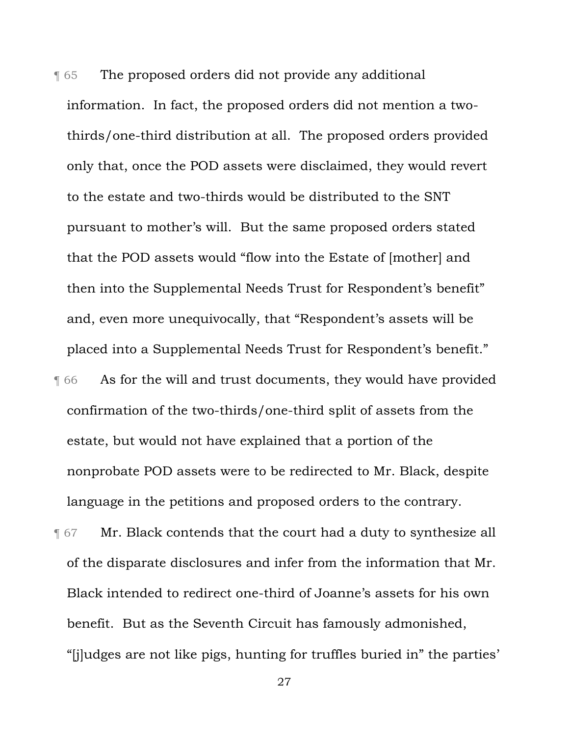¶ 65 The proposed orders did not provide any additional information. In fact, the proposed orders did not mention a twothirds/one-third distribution at all. The proposed orders provided only that, once the POD assets were disclaimed, they would revert to the estate and two-thirds would be distributed to the SNT pursuant to mother's will. But the same proposed orders stated that the POD assets would "flow into the Estate of [mother] and then into the Supplemental Needs Trust for Respondent's benefit" and, even more unequivocally, that "Respondent's assets will be placed into a Supplemental Needs Trust for Respondent's benefit." ¶ 66 As for the will and trust documents, they would have provided

- confirmation of the two-thirds/one-third split of assets from the estate, but would not have explained that a portion of the nonprobate POD assets were to be redirected to Mr. Black, despite language in the petitions and proposed orders to the contrary.
- **T** 67 Mr. Black contends that the court had a duty to synthesize all of the disparate disclosures and infer from the information that Mr. Black intended to redirect one-third of Joanne's assets for his own benefit. But as the Seventh Circuit has famously admonished, "[j]udges are not like pigs, hunting for truffles buried in" the parties'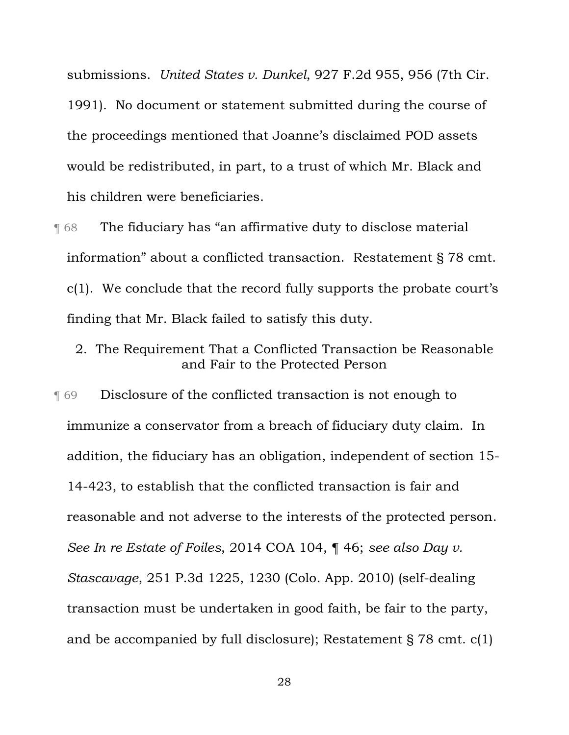submissions. *United States v. Dunkel*, 927 F.2d 955, 956 (7th Cir. 1991). No document or statement submitted during the course of the proceedings mentioned that Joanne's disclaimed POD assets would be redistributed, in part, to a trust of which Mr. Black and his children were beneficiaries.

¶ 68 The fiduciary has "an affirmative duty to disclose material information" about a conflicted transaction. Restatement § 78 cmt. c(1). We conclude that the record fully supports the probate court's finding that Mr. Black failed to satisfy this duty.

2. The Requirement That a Conflicted Transaction be Reasonable and Fair to the Protected Person

¶ 69 Disclosure of the conflicted transaction is not enough to immunize a conservator from a breach of fiduciary duty claim. In addition, the fiduciary has an obligation, independent of section 15- 14-423, to establish that the conflicted transaction is fair and reasonable and not adverse to the interests of the protected person. *See In re Estate of Foiles*, 2014 COA 104, ¶ 46; *see also Day v. Stascavage*, 251 P.3d 1225, 1230 (Colo. App. 2010) (self-dealing transaction must be undertaken in good faith, be fair to the party, and be accompanied by full disclosure); Restatement § 78 cmt. c(1)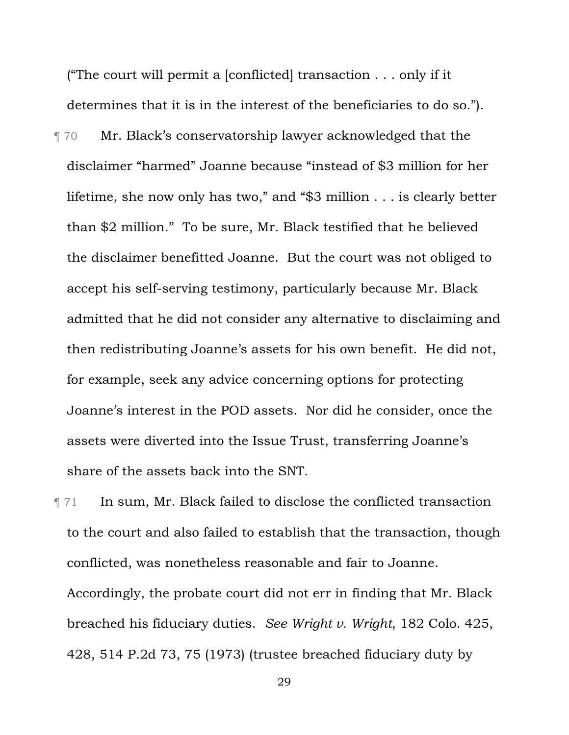("The court will permit a [conflicted] transaction . . . only if it determines that it is in the interest of the beneficiaries to do so.").

¶ 70 Mr. Black's conservatorship lawyer acknowledged that the disclaimer "harmed" Joanne because "instead of \$3 million for her lifetime, she now only has two," and "\$3 million . . . is clearly better than \$2 million." To be sure, Mr. Black testified that he believed the disclaimer benefitted Joanne. But the court was not obliged to accept his self-serving testimony, particularly because Mr. Black admitted that he did not consider any alternative to disclaiming and then redistributing Joanne's assets for his own benefit. He did not, for example, seek any advice concerning options for protecting Joanne's interest in the POD assets. Nor did he consider, once the assets were diverted into the Issue Trust, transferring Joanne's share of the assets back into the SNT.

¶ 71 In sum, Mr. Black failed to disclose the conflicted transaction to the court and also failed to establish that the transaction, though conflicted, was nonetheless reasonable and fair to Joanne.

Accordingly, the probate court did not err in finding that Mr. Black breached his fiduciary duties. *See Wright v. Wright*, 182 Colo. 425, 428, 514 P.2d 73, 75 (1973) (trustee breached fiduciary duty by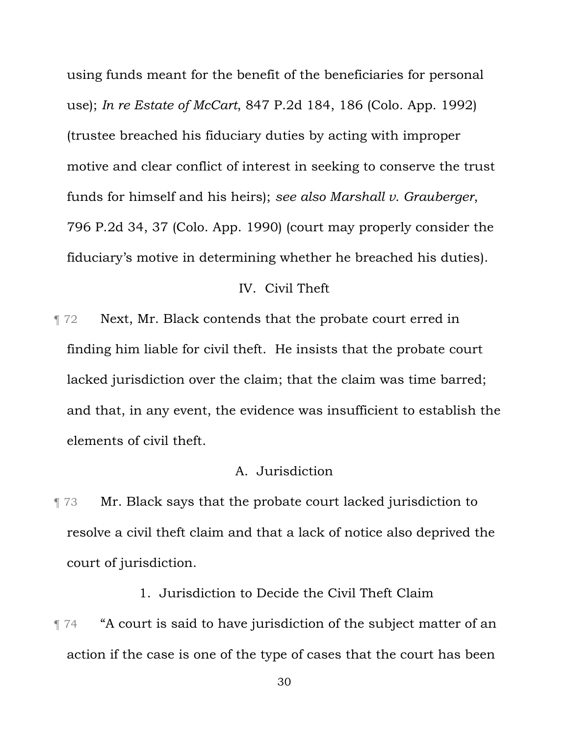using funds meant for the benefit of the beneficiaries for personal use); *In re Estate of McCart*, 847 P.2d 184, 186 (Colo. App. 1992) (trustee breached his fiduciary duties by acting with improper motive and clear conflict of interest in seeking to conserve the trust funds for himself and his heirs); *see also Marshall v. Grauberger*, 796 P.2d 34, 37 (Colo. App. 1990) (court may properly consider the fiduciary's motive in determining whether he breached his duties).

### IV. Civil Theft

**The Propert Solut** September 174 Next, Mr. Black contends that the probate court erred in finding him liable for civil theft. He insists that the probate court lacked jurisdiction over the claim; that the claim was time barred; and that, in any event, the evidence was insufficient to establish the elements of civil theft.

### A. Jurisdiction

¶ 73 Mr. Black says that the probate court lacked jurisdiction to resolve a civil theft claim and that a lack of notice also deprived the court of jurisdiction.

1. Jurisdiction to Decide the Civil Theft Claim

**The "A court is said to have jurisdiction of the subject matter of an** action if the case is one of the type of cases that the court has been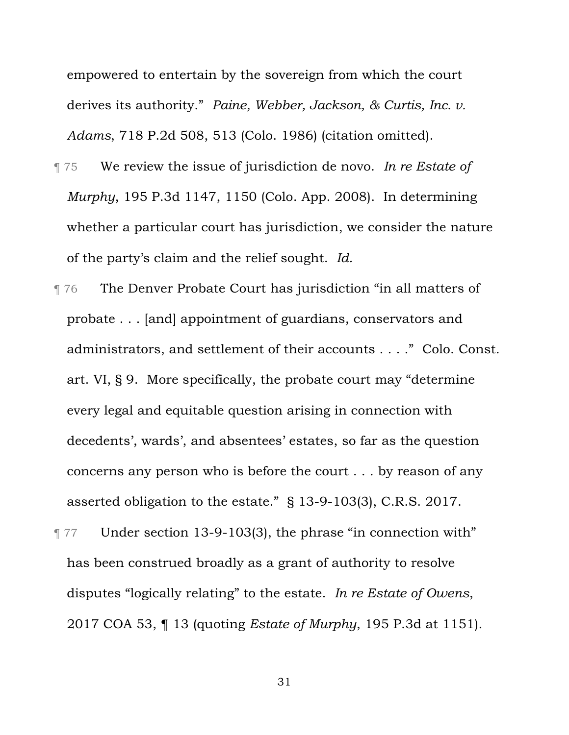empowered to entertain by the sovereign from which the court derives its authority." *Paine, Webber, Jackson, & Curtis, Inc. v. Adams*, 718 P.2d 508, 513 (Colo. 1986) (citation omitted).

- ¶ 75 We review the issue of jurisdiction de novo. *In re Estate of Murphy*, 195 P.3d 1147, 1150 (Colo. App. 2008). In determining whether a particular court has jurisdiction, we consider the nature of the party's claim and the relief sought. *Id.*
- ¶ 76 The Denver Probate Court has jurisdiction "in all matters of probate . . . [and] appointment of guardians, conservators and administrators, and settlement of their accounts . . . ." Colo. Const. art. VI, § 9. More specifically, the probate court may "determine every legal and equitable question arising in connection with decedents', wards', and absentees' estates, so far as the question concerns any person who is before the court . . . by reason of any asserted obligation to the estate." § 13-9-103(3), C.R.S. 2017.
- ¶ 77 Under section 13-9-103(3), the phrase "in connection with" has been construed broadly as a grant of authority to resolve disputes "logically relating" to the estate. *In re Estate of Owens*, 2017 COA 53, ¶ 13 (quoting *Estate of Murphy*, 195 P.3d at 1151).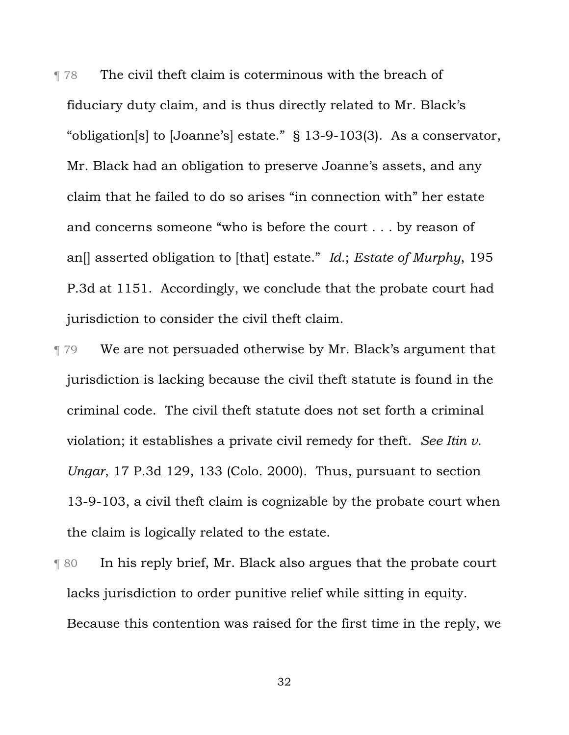- ¶ 78 The civil theft claim is coterminous with the breach of fiduciary duty claim, and is thus directly related to Mr. Black's "obligation[s] to [Joanne's] estate." § 13-9-103(3). As a conservator, Mr. Black had an obligation to preserve Joanne's assets, and any claim that he failed to do so arises "in connection with" her estate and concerns someone "who is before the court . . . by reason of an[] asserted obligation to [that] estate." *Id.*; *Estate of Murphy*, 195 P.3d at 1151. Accordingly, we conclude that the probate court had jurisdiction to consider the civil theft claim.
- ¶ 79 We are not persuaded otherwise by Mr. Black's argument that jurisdiction is lacking because the civil theft statute is found in the criminal code. The civil theft statute does not set forth a criminal violation; it establishes a private civil remedy for theft. *See Itin v. Ungar*, 17 P.3d 129, 133 (Colo. 2000). Thus, pursuant to section 13-9-103, a civil theft claim is cognizable by the probate court when the claim is logically related to the estate.
- ¶ 80 In his reply brief, Mr. Black also argues that the probate court lacks jurisdiction to order punitive relief while sitting in equity. Because this contention was raised for the first time in the reply, we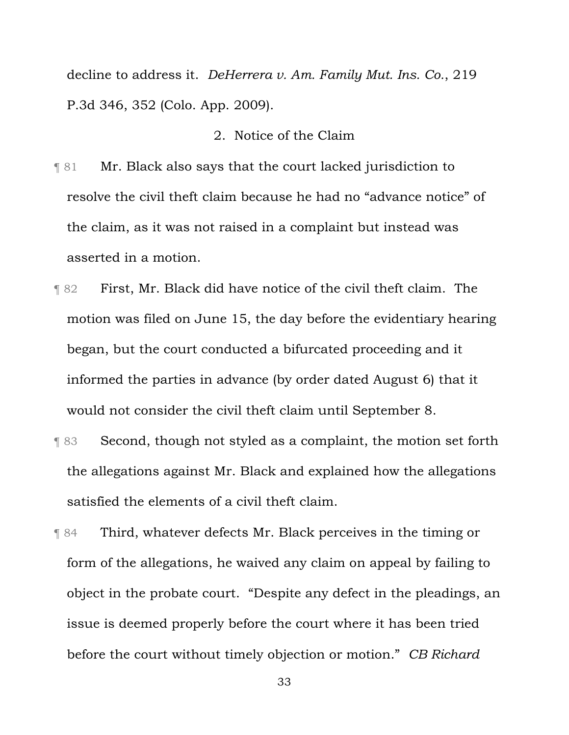decline to address it. *DeHerrera v. Am. Family Mut. Ins. Co.*, 219 P.3d 346, 352 (Colo. App. 2009).

### 2. Notice of the Claim

- ¶ 81 Mr. Black also says that the court lacked jurisdiction to resolve the civil theft claim because he had no "advance notice" of the claim, as it was not raised in a complaint but instead was asserted in a motion.
- ¶ 82 First, Mr. Black did have notice of the civil theft claim. The motion was filed on June 15, the day before the evidentiary hearing began, but the court conducted a bifurcated proceeding and it informed the parties in advance (by order dated August 6) that it would not consider the civil theft claim until September 8.
- ¶ 83 Second, though not styled as a complaint, the motion set forth the allegations against Mr. Black and explained how the allegations satisfied the elements of a civil theft claim.
- ¶ 84 Third, whatever defects Mr. Black perceives in the timing or form of the allegations, he waived any claim on appeal by failing to object in the probate court. "Despite any defect in the pleadings, an issue is deemed properly before the court where it has been tried before the court without timely objection or motion." *CB Richard*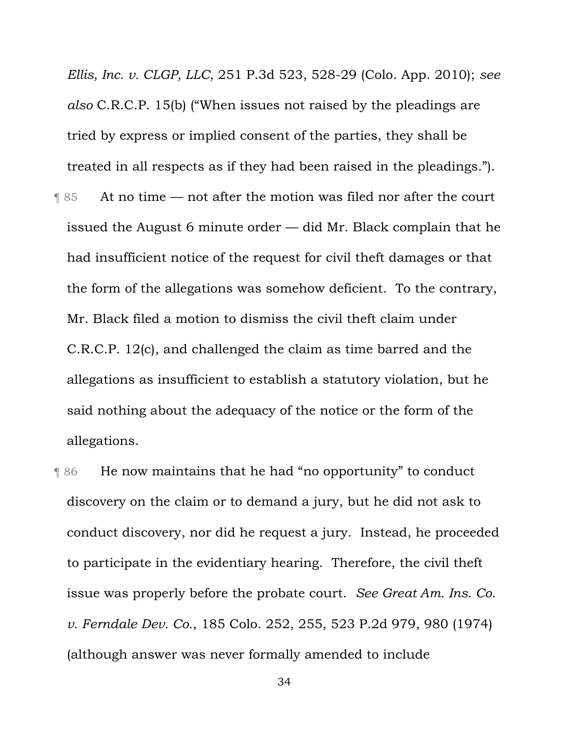*Ellis, Inc. v. CLGP, LLC*, 251 P.3d 523, 528-29 (Colo. App. 2010); *see also* C.R.C.P. 15(b) ("When issues not raised by the pleadings are tried by express or implied consent of the parties, they shall be treated in all respects as if they had been raised in the pleadings."). ¶ 85 At no time — not after the motion was filed nor after the court issued the August 6 minute order — did Mr. Black complain that he had insufficient notice of the request for civil theft damages or that the form of the allegations was somehow deficient. To the contrary, Mr. Black filed a motion to dismiss the civil theft claim under C.R.C.P. 12(c), and challenged the claim as time barred and the allegations as insufficient to establish a statutory violation, but he said nothing about the adequacy of the notice or the form of the allegations.

¶ 86 He now maintains that he had "no opportunity" to conduct discovery on the claim or to demand a jury, but he did not ask to conduct discovery, nor did he request a jury. Instead, he proceeded to participate in the evidentiary hearing. Therefore, the civil theft issue was properly before the probate court. *See Great Am. Ins. Co. v. Ferndale Dev. Co.*, 185 Colo. 252, 255, 523 P.2d 979, 980 (1974) (although answer was never formally amended to include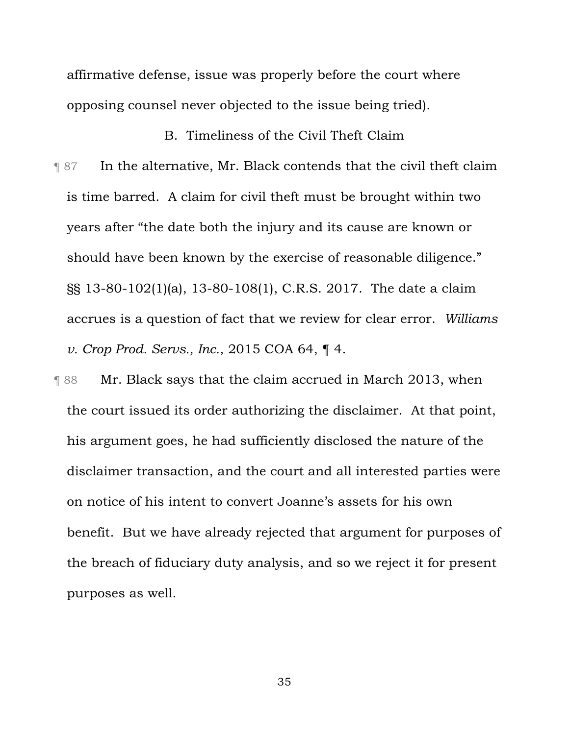affirmative defense, issue was properly before the court where opposing counsel never objected to the issue being tried).

#### B. Timeliness of the Civil Theft Claim

- ¶ 87 In the alternative, Mr. Black contends that the civil theft claim is time barred. A claim for civil theft must be brought within two years after "the date both the injury and its cause are known or should have been known by the exercise of reasonable diligence." §§ 13-80-102(1)(a), 13-80-108(1), C.R.S. 2017. The date a claim accrues is a question of fact that we review for clear error. *Williams v. Crop Prod. Servs., Inc.*, 2015 COA 64, ¶ 4.
- ¶ 88 Mr. Black says that the claim accrued in March 2013, when the court issued its order authorizing the disclaimer. At that point, his argument goes, he had sufficiently disclosed the nature of the disclaimer transaction, and the court and all interested parties were on notice of his intent to convert Joanne's assets for his own benefit. But we have already rejected that argument for purposes of the breach of fiduciary duty analysis, and so we reject it for present purposes as well.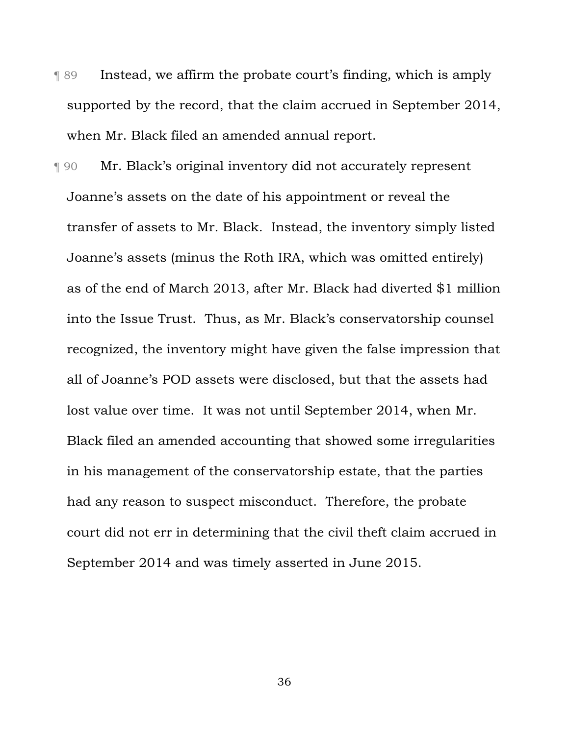- ¶ 89 Instead, we affirm the probate court's finding, which is amply supported by the record, that the claim accrued in September 2014, when Mr. Black filed an amended annual report.
- ¶ 90 Mr. Black's original inventory did not accurately represent Joanne's assets on the date of his appointment or reveal the transfer of assets to Mr. Black. Instead, the inventory simply listed Joanne's assets (minus the Roth IRA, which was omitted entirely) as of the end of March 2013, after Mr. Black had diverted \$1 million into the Issue Trust. Thus, as Mr. Black's conservatorship counsel recognized, the inventory might have given the false impression that all of Joanne's POD assets were disclosed, but that the assets had lost value over time. It was not until September 2014, when Mr. Black filed an amended accounting that showed some irregularities in his management of the conservatorship estate, that the parties had any reason to suspect misconduct. Therefore, the probate court did not err in determining that the civil theft claim accrued in September 2014 and was timely asserted in June 2015.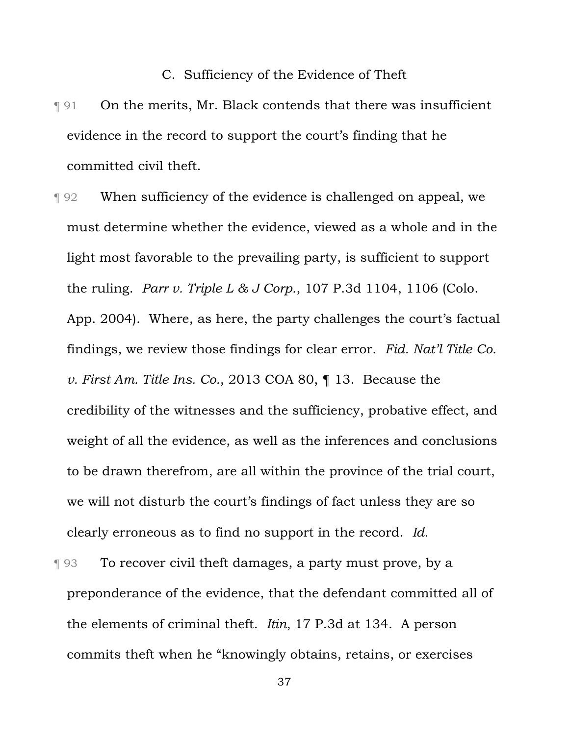## C. Sufficiency of the Evidence of Theft

- **The 91** On the merits, Mr. Black contends that there was insufficient evidence in the record to support the court's finding that he committed civil theft.
- ¶ 92 When sufficiency of the evidence is challenged on appeal, we must determine whether the evidence, viewed as a whole and in the light most favorable to the prevailing party, is sufficient to support the ruling. *Parr v. Triple L & J Corp.*, 107 P.3d 1104, 1106 (Colo. App. 2004). Where, as here, the party challenges the court's factual findings, we review those findings for clear error. *Fid. Nat'l Title Co. v. First Am. Title Ins. Co.*, 2013 COA 80, ¶ 13. Because the credibility of the witnesses and the sufficiency, probative effect, and weight of all the evidence, as well as the inferences and conclusions to be drawn therefrom, are all within the province of the trial court, we will not disturb the court's findings of fact unless they are so clearly erroneous as to find no support in the record. *Id.*
- **Therefore Figure 1**93 To recover civil theft damages, a party must prove, by a preponderance of the evidence, that the defendant committed all of the elements of criminal theft. *Itin*, 17 P.3d at 134. A person commits theft when he "knowingly obtains, retains, or exercises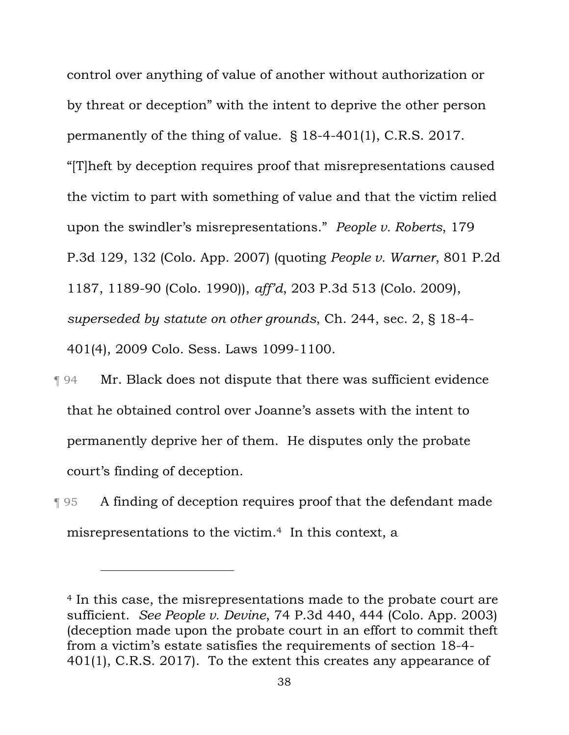control over anything of value of another without authorization or by threat or deception" with the intent to deprive the other person permanently of the thing of value. § 18-4-401(1), C.R.S. 2017. "[T]heft by deception requires proof that misrepresentations caused the victim to part with something of value and that the victim relied upon the swindler's misrepresentations." *People v. Roberts*, 179 P.3d 129, 132 (Colo. App. 2007) (quoting *People v. Warner*, 801 P.2d 1187, 1189-90 (Colo. 1990)), *aff'd*, 203 P.3d 513 (Colo. 2009), *superseded by statute on other grounds*, Ch. 244, sec. 2, § 18-4- 401(4), 2009 Colo. Sess. Laws 1099-1100.

- ¶ 94 Mr. Black does not dispute that there was sufficient evidence that he obtained control over Joanne's assets with the intent to permanently deprive her of them. He disputes only the probate court's finding of deception.
- ¶ 95 A finding of deception requires proof that the defendant made misrepresentations to the victim.4 In this context, a

l

<sup>4</sup> In this case, the misrepresentations made to the probate court are sufficient. *See People v. Devine*, 74 P.3d 440, 444 (Colo. App. 2003) (deception made upon the probate court in an effort to commit theft from a victim's estate satisfies the requirements of section 18-4- 401(1), C.R.S. 2017). To the extent this creates any appearance of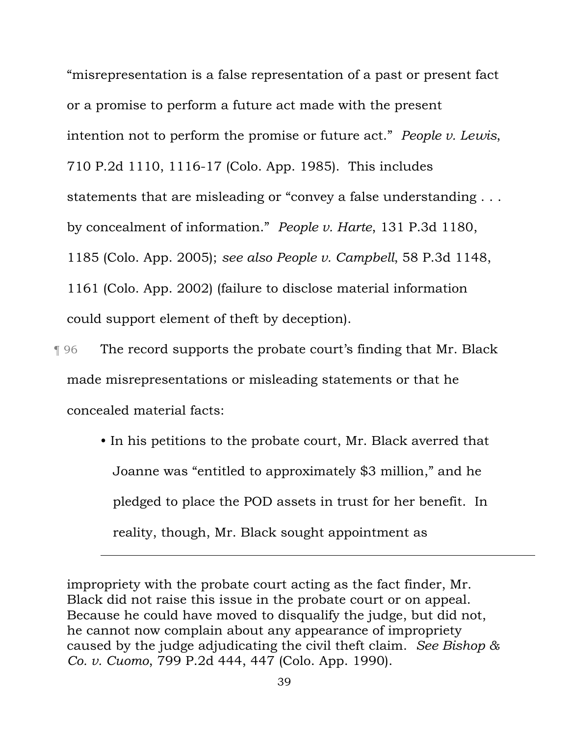"misrepresentation is a false representation of a past or present fact or a promise to perform a future act made with the present intention not to perform the promise or future act." *People v. Lewis*, 710 P.2d 1110, 1116-17 (Colo. App. 1985). This includes statements that are misleading or "convey a false understanding . . . by concealment of information." *People v. Harte*, 131 P.3d 1180, 1185 (Colo. App. 2005); *see also People v. Campbell*, 58 P.3d 1148, 1161 (Colo. App. 2002) (failure to disclose material information could support element of theft by deception).

**The record supports the probate court's finding that Mr. Black** made misrepresentations or misleading statements or that he concealed material facts:

> • In his petitions to the probate court, Mr. Black averred that Joanne was "entitled to approximately \$3 million," and he pledged to place the POD assets in trust for her benefit. In reality, though, Mr. Black sought appointment as

impropriety with the probate court acting as the fact finder, Mr. Black did not raise this issue in the probate court or on appeal. Because he could have moved to disqualify the judge, but did not, he cannot now complain about any appearance of impropriety caused by the judge adjudicating the civil theft claim. *See Bishop & Co. v. Cuomo*, 799 P.2d 444, 447 (Colo. App. 1990).

l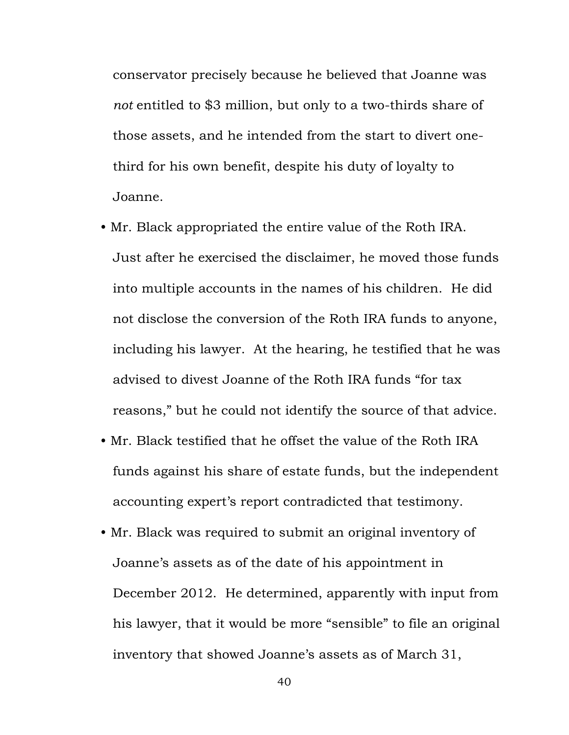conservator precisely because he believed that Joanne was *not* entitled to \$3 million, but only to a two-thirds share of those assets, and he intended from the start to divert onethird for his own benefit, despite his duty of loyalty to Joanne.

- Mr. Black appropriated the entire value of the Roth IRA. Just after he exercised the disclaimer, he moved those funds into multiple accounts in the names of his children. He did not disclose the conversion of the Roth IRA funds to anyone, including his lawyer. At the hearing, he testified that he was advised to divest Joanne of the Roth IRA funds "for tax reasons," but he could not identify the source of that advice.
- Mr. Black testified that he offset the value of the Roth IRA funds against his share of estate funds, but the independent accounting expert's report contradicted that testimony.
- Mr. Black was required to submit an original inventory of Joanne's assets as of the date of his appointment in December 2012. He determined, apparently with input from his lawyer, that it would be more "sensible" to file an original inventory that showed Joanne's assets as of March 31,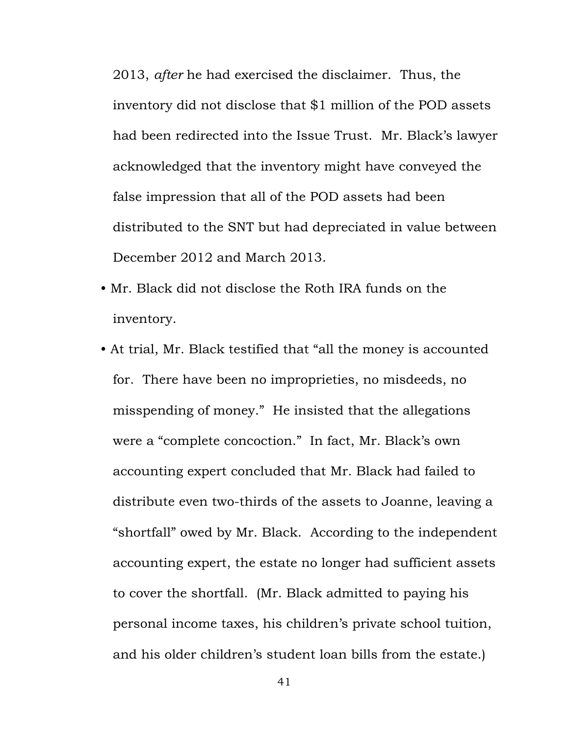2013, *after* he had exercised the disclaimer. Thus, the inventory did not disclose that \$1 million of the POD assets had been redirected into the Issue Trust. Mr. Black's lawyer acknowledged that the inventory might have conveyed the false impression that all of the POD assets had been distributed to the SNT but had depreciated in value between December 2012 and March 2013.

- Mr. Black did not disclose the Roth IRA funds on the inventory.
- At trial, Mr. Black testified that "all the money is accounted for. There have been no improprieties, no misdeeds, no misspending of money." He insisted that the allegations were a "complete concoction." In fact, Mr. Black's own accounting expert concluded that Mr. Black had failed to distribute even two-thirds of the assets to Joanne, leaving a "shortfall" owed by Mr. Black. According to the independent accounting expert, the estate no longer had sufficient assets to cover the shortfall. (Mr. Black admitted to paying his personal income taxes, his children's private school tuition, and his older children's student loan bills from the estate.)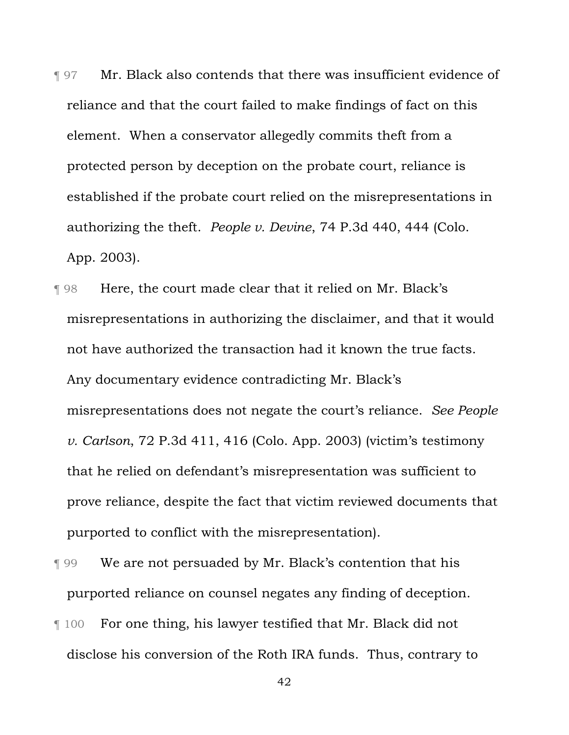**Text** 97 Mr. Black also contends that there was insufficient evidence of reliance and that the court failed to make findings of fact on this element. When a conservator allegedly commits theft from a protected person by deception on the probate court, reliance is established if the probate court relied on the misrepresentations in authorizing the theft. *People v. Devine*, 74 P.3d 440, 444 (Colo. App. 2003).

¶ 98 Here, the court made clear that it relied on Mr. Black's misrepresentations in authorizing the disclaimer, and that it would not have authorized the transaction had it known the true facts. Any documentary evidence contradicting Mr. Black's misrepresentations does not negate the court's reliance. *See People v. Carlson*, 72 P.3d 411, 416 (Colo. App. 2003) (victim's testimony that he relied on defendant's misrepresentation was sufficient to prove reliance, despite the fact that victim reviewed documents that purported to conflict with the misrepresentation).

**The Struth We are not persuaded by Mr. Black's contention that his** purported reliance on counsel negates any finding of deception. ¶ 100 For one thing, his lawyer testified that Mr. Black did not disclose his conversion of the Roth IRA funds. Thus, contrary to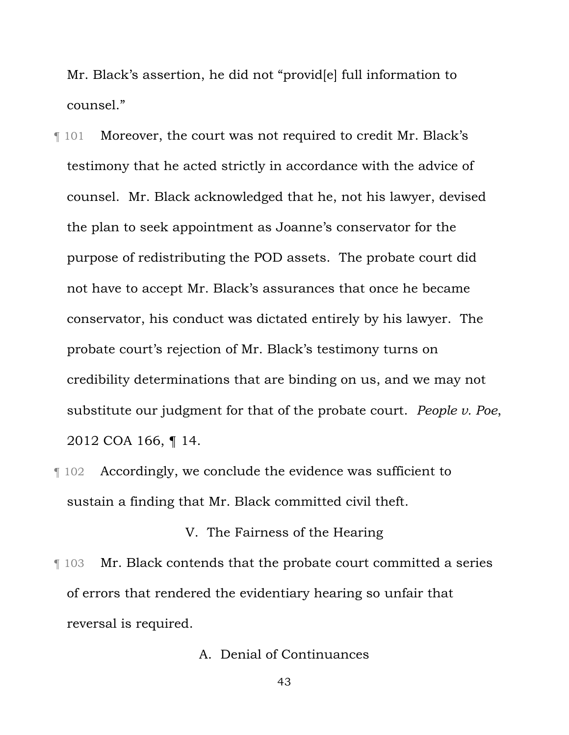Mr. Black's assertion, he did not "provid[e] full information to counsel."

¶ 101 Moreover, the court was not required to credit Mr. Black's testimony that he acted strictly in accordance with the advice of counsel. Mr. Black acknowledged that he, not his lawyer, devised the plan to seek appointment as Joanne's conservator for the purpose of redistributing the POD assets. The probate court did not have to accept Mr. Black's assurances that once he became conservator, his conduct was dictated entirely by his lawyer. The probate court's rejection of Mr. Black's testimony turns on credibility determinations that are binding on us, and we may not substitute our judgment for that of the probate court. *People v. Poe*, 2012 COA 166, ¶ 14.

¶ 102 Accordingly, we conclude the evidence was sufficient to sustain a finding that Mr. Black committed civil theft.

¶ 103 Mr. Black contends that the probate court committed a series of errors that rendered the evidentiary hearing so unfair that reversal is required.

V. The Fairness of the Hearing

## A. Denial of Continuances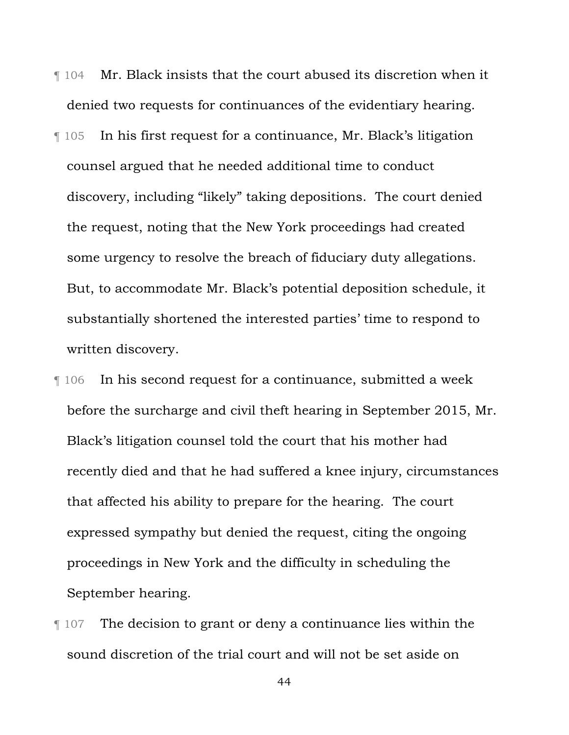¶ 104 Mr. Black insists that the court abused its discretion when it denied two requests for continuances of the evidentiary hearing. ¶ 105 In his first request for a continuance, Mr. Black's litigation counsel argued that he needed additional time to conduct discovery, including "likely" taking depositions. The court denied the request, noting that the New York proceedings had created some urgency to resolve the breach of fiduciary duty allegations. But, to accommodate Mr. Black's potential deposition schedule, it substantially shortened the interested parties' time to respond to written discovery.

¶ 106 In his second request for a continuance, submitted a week before the surcharge and civil theft hearing in September 2015, Mr. Black's litigation counsel told the court that his mother had recently died and that he had suffered a knee injury, circumstances that affected his ability to prepare for the hearing. The court expressed sympathy but denied the request, citing the ongoing proceedings in New York and the difficulty in scheduling the September hearing.

¶ 107 The decision to grant or deny a continuance lies within the sound discretion of the trial court and will not be set aside on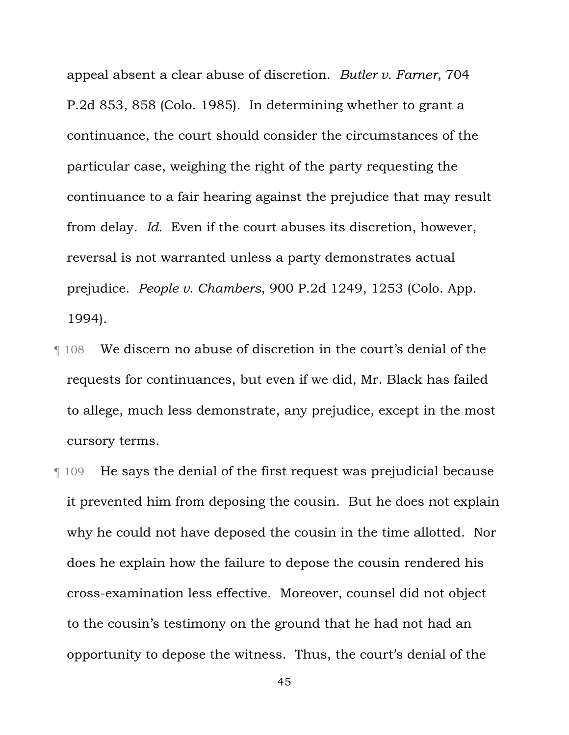appeal absent a clear abuse of discretion. *Butler v. Farner*, 704 P.2d 853, 858 (Colo. 1985). In determining whether to grant a continuance, the court should consider the circumstances of the particular case, weighing the right of the party requesting the continuance to a fair hearing against the prejudice that may result from delay. *Id.* Even if the court abuses its discretion, however, reversal is not warranted unless a party demonstrates actual prejudice. *People v. Chambers*, 900 P.2d 1249, 1253 (Colo. App. 1994).

- ¶ 108 We discern no abuse of discretion in the court's denial of the requests for continuances, but even if we did, Mr. Black has failed to allege, much less demonstrate, any prejudice, except in the most cursory terms.
- ¶ 109 He says the denial of the first request was prejudicial because it prevented him from deposing the cousin. But he does not explain why he could not have deposed the cousin in the time allotted. Nor does he explain how the failure to depose the cousin rendered his cross-examination less effective. Moreover, counsel did not object to the cousin's testimony on the ground that he had not had an opportunity to depose the witness. Thus, the court's denial of the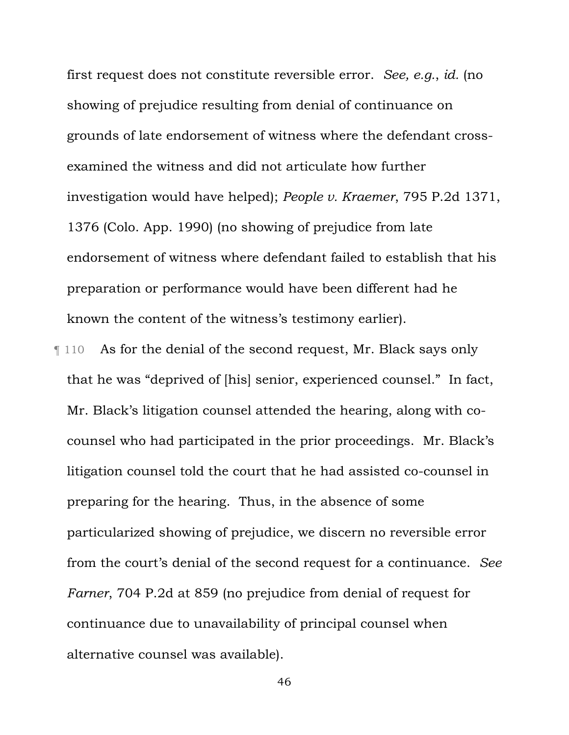first request does not constitute reversible error. *See, e.g.*, *id.* (no showing of prejudice resulting from denial of continuance on grounds of late endorsement of witness where the defendant crossexamined the witness and did not articulate how further investigation would have helped); *People v. Kraemer*, 795 P.2d 1371, 1376 (Colo. App. 1990) (no showing of prejudice from late endorsement of witness where defendant failed to establish that his preparation or performance would have been different had he known the content of the witness's testimony earlier).

¶ 110 As for the denial of the second request, Mr. Black says only that he was "deprived of [his] senior, experienced counsel." In fact, Mr. Black's litigation counsel attended the hearing, along with cocounsel who had participated in the prior proceedings. Mr. Black's litigation counsel told the court that he had assisted co-counsel in preparing for the hearing. Thus, in the absence of some particularized showing of prejudice, we discern no reversible error from the court's denial of the second request for a continuance. *See Farner*, 704 P.2d at 859 (no prejudice from denial of request for continuance due to unavailability of principal counsel when alternative counsel was available).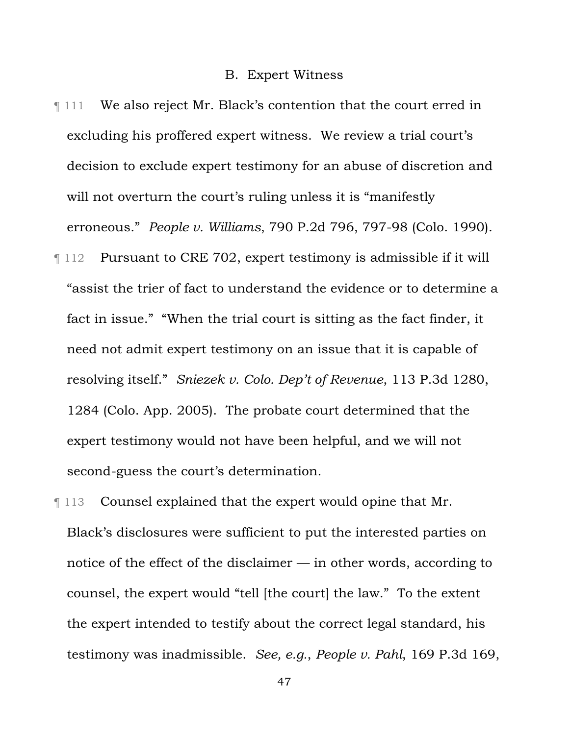#### B. Expert Witness

- ¶ 111 We also reject Mr. Black's contention that the court erred in excluding his proffered expert witness. We review a trial court's decision to exclude expert testimony for an abuse of discretion and will not overturn the court's ruling unless it is "manifestly erroneous." *People v. Williams*, 790 P.2d 796, 797-98 (Colo. 1990). ¶ 112 Pursuant to CRE 702, expert testimony is admissible if it will "assist the trier of fact to understand the evidence or to determine a fact in issue." "When the trial court is sitting as the fact finder, it need not admit expert testimony on an issue that it is capable of resolving itself." *Sniezek v. Colo. Dep't of Revenue*, 113 P.3d 1280, 1284 (Colo. App. 2005). The probate court determined that the expert testimony would not have been helpful, and we will not second-guess the court's determination.
- ¶ 113 Counsel explained that the expert would opine that Mr. Black's disclosures were sufficient to put the interested parties on notice of the effect of the disclaimer — in other words, according to counsel, the expert would "tell [the court] the law." To the extent the expert intended to testify about the correct legal standard, his testimony was inadmissible. *See, e.g.*, *People v. Pahl*, 169 P.3d 169,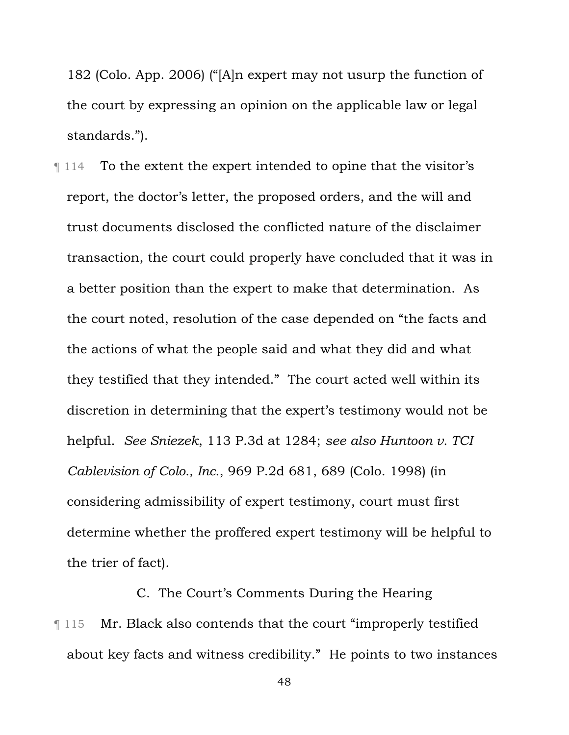182 (Colo. App. 2006) ("[A]n expert may not usurp the function of the court by expressing an opinion on the applicable law or legal standards.").

¶ 114 To the extent the expert intended to opine that the visitor's report, the doctor's letter, the proposed orders, and the will and trust documents disclosed the conflicted nature of the disclaimer transaction, the court could properly have concluded that it was in a better position than the expert to make that determination. As the court noted, resolution of the case depended on "the facts and the actions of what the people said and what they did and what they testified that they intended." The court acted well within its discretion in determining that the expert's testimony would not be helpful. *See Sniezek*, 113 P.3d at 1284; *see also Huntoon v. TCI Cablevision of Colo., Inc.*, 969 P.2d 681, 689 (Colo. 1998) (in considering admissibility of expert testimony, court must first determine whether the proffered expert testimony will be helpful to the trier of fact).

C. The Court's Comments During the Hearing ¶ 115 Mr. Black also contends that the court "improperly testified about key facts and witness credibility." He points to two instances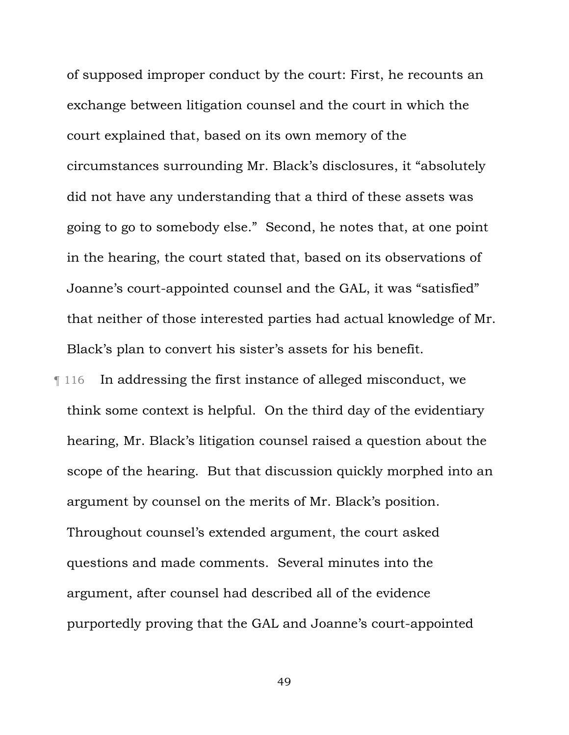of supposed improper conduct by the court: First, he recounts an exchange between litigation counsel and the court in which the court explained that, based on its own memory of the circumstances surrounding Mr. Black's disclosures, it "absolutely did not have any understanding that a third of these assets was going to go to somebody else." Second, he notes that, at one point in the hearing, the court stated that, based on its observations of Joanne's court-appointed counsel and the GAL, it was "satisfied" that neither of those interested parties had actual knowledge of Mr. Black's plan to convert his sister's assets for his benefit.

¶ 116 In addressing the first instance of alleged misconduct, we think some context is helpful. On the third day of the evidentiary hearing, Mr. Black's litigation counsel raised a question about the scope of the hearing. But that discussion quickly morphed into an argument by counsel on the merits of Mr. Black's position. Throughout counsel's extended argument, the court asked questions and made comments. Several minutes into the argument, after counsel had described all of the evidence purportedly proving that the GAL and Joanne's court-appointed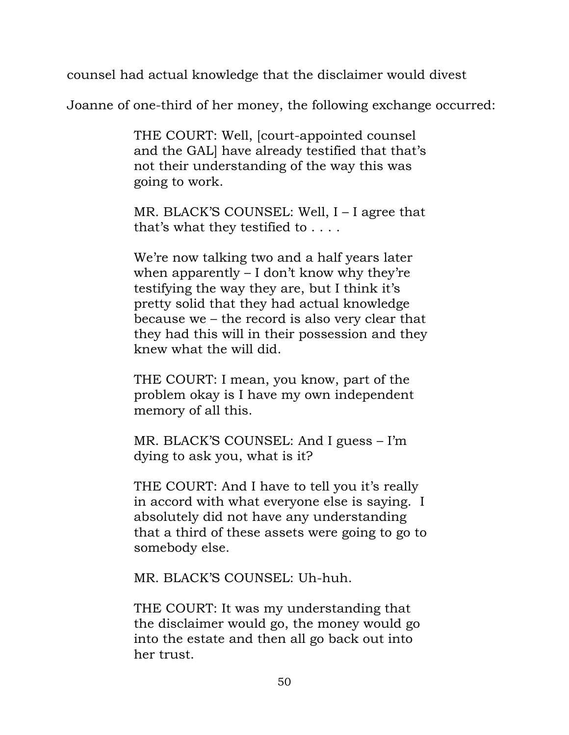counsel had actual knowledge that the disclaimer would divest

Joanne of one-third of her money, the following exchange occurred:

THE COURT: Well, [court-appointed counsel and the GAL] have already testified that that's not their understanding of the way this was going to work.

MR. BLACK'S COUNSEL: Well, I – I agree that that's what they testified to . . . .

We're now talking two and a half years later when apparently – I don't know why they're testifying the way they are, but I think it's pretty solid that they had actual knowledge because we – the record is also very clear that they had this will in their possession and they knew what the will did.

THE COURT: I mean, you know, part of the problem okay is I have my own independent memory of all this.

MR. BLACK'S COUNSEL: And I guess – I'm dying to ask you, what is it?

THE COURT: And I have to tell you it's really in accord with what everyone else is saying. I absolutely did not have any understanding that a third of these assets were going to go to somebody else.

MR. BLACK'S COUNSEL: Uh-huh.

THE COURT: It was my understanding that the disclaimer would go, the money would go into the estate and then all go back out into her trust.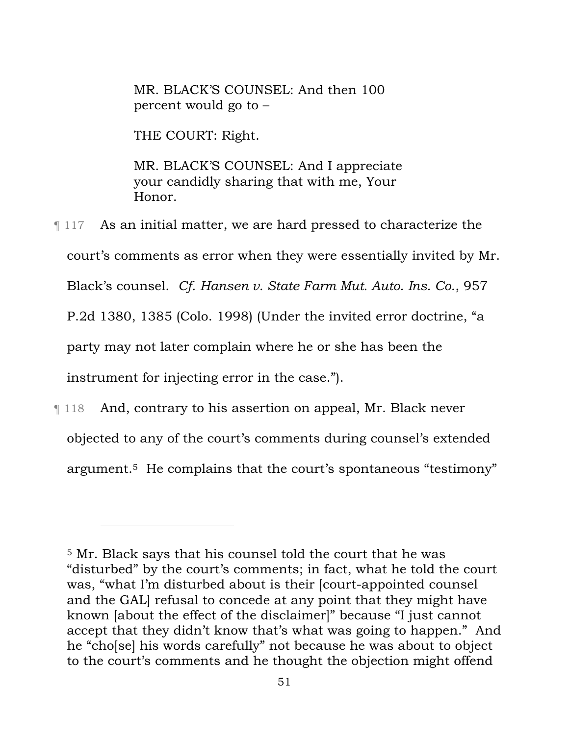MR. BLACK'S COUNSEL: And then 100 percent would go to –

THE COURT: Right.

 $\overline{a}$ 

MR. BLACK'S COUNSEL: And I appreciate your candidly sharing that with me, Your Honor.

¶ 117 As an initial matter, we are hard pressed to characterize the court's comments as error when they were essentially invited by Mr. Black's counsel. *Cf. Hansen v. State Farm Mut. Auto. Ins. Co.*, 957 P.2d 1380, 1385 (Colo. 1998) (Under the invited error doctrine, "a party may not later complain where he or she has been the instrument for injecting error in the case.").

¶ 118 And, contrary to his assertion on appeal, Mr. Black never objected to any of the court's comments during counsel's extended argument.<sup>5</sup> He complains that the court's spontaneous "testimony"

<sup>5</sup> Mr. Black says that his counsel told the court that he was "disturbed" by the court's comments; in fact, what he told the court was, "what I'm disturbed about is their [court-appointed counsel and the GAL] refusal to concede at any point that they might have known [about the effect of the disclaimer]" because "I just cannot accept that they didn't know that's what was going to happen." And he "cho[se] his words carefully" not because he was about to object to the court's comments and he thought the objection might offend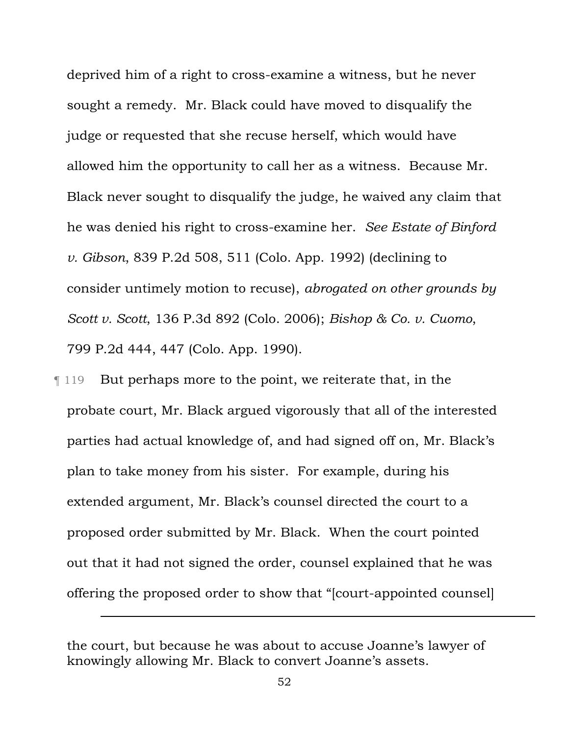deprived him of a right to cross-examine a witness, but he never sought a remedy. Mr. Black could have moved to disqualify the judge or requested that she recuse herself, which would have allowed him the opportunity to call her as a witness. Because Mr. Black never sought to disqualify the judge, he waived any claim that he was denied his right to cross-examine her. *See Estate of Binford v. Gibson*, 839 P.2d 508, 511 (Colo. App. 1992) (declining to consider untimely motion to recuse), *abrogated on other grounds by Scott v. Scott*, 136 P.3d 892 (Colo. 2006); *Bishop & Co. v. Cuomo*, 799 P.2d 444, 447 (Colo. App. 1990).

¶ 119 But perhaps more to the point, we reiterate that, in the probate court, Mr. Black argued vigorously that all of the interested parties had actual knowledge of, and had signed off on, Mr. Black's plan to take money from his sister. For example, during his extended argument, Mr. Black's counsel directed the court to a proposed order submitted by Mr. Black. When the court pointed out that it had not signed the order, counsel explained that he was offering the proposed order to show that "[court-appointed counsel]

l

the court, but because he was about to accuse Joanne's lawyer of knowingly allowing Mr. Black to convert Joanne's assets.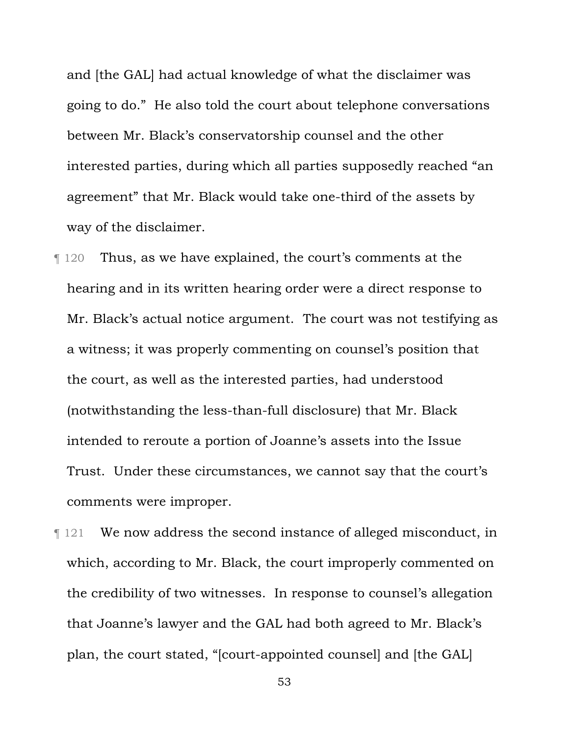and [the GAL] had actual knowledge of what the disclaimer was going to do." He also told the court about telephone conversations between Mr. Black's conservatorship counsel and the other interested parties, during which all parties supposedly reached "an agreement" that Mr. Black would take one-third of the assets by way of the disclaimer.

- ¶ 120 Thus, as we have explained, the court's comments at the hearing and in its written hearing order were a direct response to Mr. Black's actual notice argument. The court was not testifying as a witness; it was properly commenting on counsel's position that the court, as well as the interested parties, had understood (notwithstanding the less-than-full disclosure) that Mr. Black intended to reroute a portion of Joanne's assets into the Issue Trust. Under these circumstances, we cannot say that the court's comments were improper.
- ¶ 121 We now address the second instance of alleged misconduct, in which, according to Mr. Black, the court improperly commented on the credibility of two witnesses. In response to counsel's allegation that Joanne's lawyer and the GAL had both agreed to Mr. Black's plan, the court stated, "[court-appointed counsel] and [the GAL]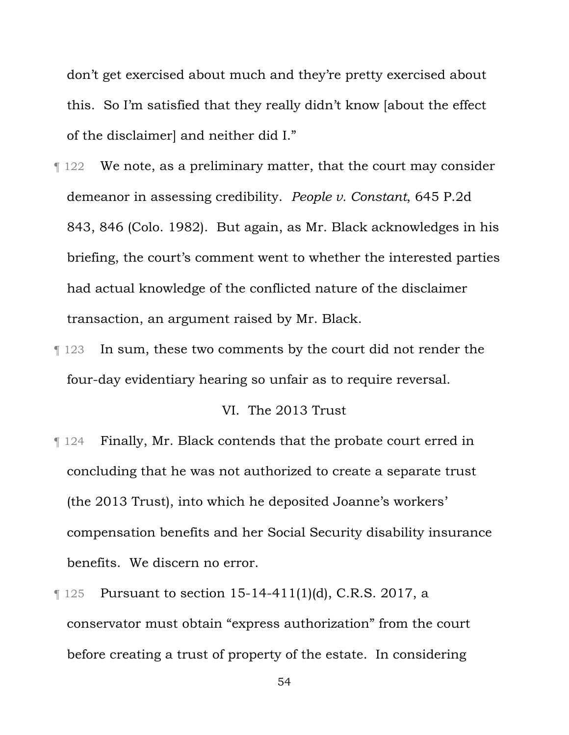don't get exercised about much and they're pretty exercised about this. So I'm satisfied that they really didn't know [about the effect of the disclaimer] and neither did I."

- ¶ 122 We note, as a preliminary matter, that the court may consider demeanor in assessing credibility. *People v. Constant*, 645 P.2d 843, 846 (Colo. 1982). But again, as Mr. Black acknowledges in his briefing, the court's comment went to whether the interested parties had actual knowledge of the conflicted nature of the disclaimer transaction, an argument raised by Mr. Black.
- ¶ 123 In sum, these two comments by the court did not render the four-day evidentiary hearing so unfair as to require reversal.

### VI. The 2013 Trust

- ¶ 124 Finally, Mr. Black contends that the probate court erred in concluding that he was not authorized to create a separate trust (the 2013 Trust), into which he deposited Joanne's workers' compensation benefits and her Social Security disability insurance benefits. We discern no error.
- $\parallel$  125 Pursuant to section 15-14-411(1)(d), C.R.S. 2017, a conservator must obtain "express authorization" from the court before creating a trust of property of the estate. In considering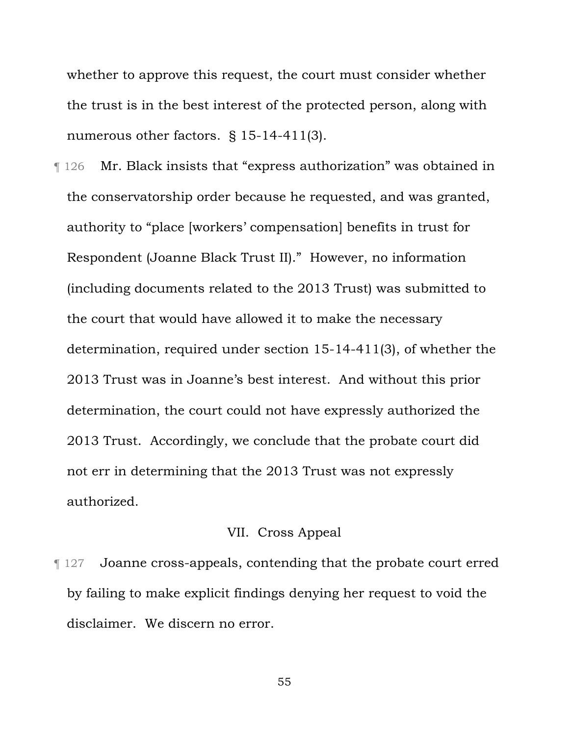whether to approve this request, the court must consider whether the trust is in the best interest of the protected person, along with numerous other factors. § 15-14-411(3).

¶ 126 Mr. Black insists that "express authorization" was obtained in the conservatorship order because he requested, and was granted, authority to "place [workers' compensation] benefits in trust for Respondent (Joanne Black Trust II)." However, no information (including documents related to the 2013 Trust) was submitted to the court that would have allowed it to make the necessary determination, required under section 15-14-411(3), of whether the 2013 Trust was in Joanne's best interest. And without this prior determination, the court could not have expressly authorized the 2013 Trust. Accordingly, we conclude that the probate court did not err in determining that the 2013 Trust was not expressly authorized.

## VII. Cross Appeal

¶ 127 Joanne cross-appeals, contending that the probate court erred by failing to make explicit findings denying her request to void the disclaimer. We discern no error.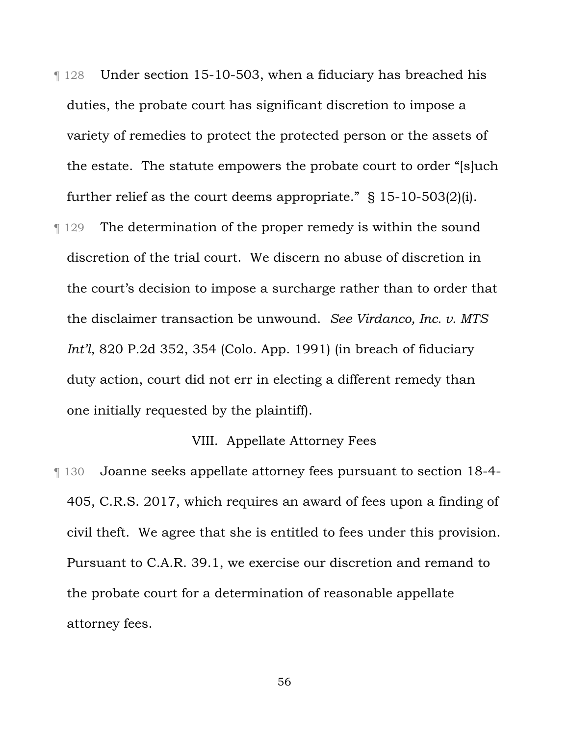- ¶ 128 Under section 15-10-503, when a fiduciary has breached his duties, the probate court has significant discretion to impose a variety of remedies to protect the protected person or the assets of the estate. The statute empowers the probate court to order "[s]uch further relief as the court deems appropriate." § 15-10-503(2)(i).
- ¶ 129 The determination of the proper remedy is within the sound discretion of the trial court. We discern no abuse of discretion in the court's decision to impose a surcharge rather than to order that the disclaimer transaction be unwound. *See Virdanco, Inc. v. MTS Int'l*, 820 P.2d 352, 354 (Colo. App. 1991) (in breach of fiduciary duty action, court did not err in electing a different remedy than one initially requested by the plaintiff).

### VIII. Appellate Attorney Fees

¶ 130 Joanne seeks appellate attorney fees pursuant to section 18-4- 405, C.R.S. 2017, which requires an award of fees upon a finding of civil theft. We agree that she is entitled to fees under this provision. Pursuant to C.A.R. 39.1, we exercise our discretion and remand to the probate court for a determination of reasonable appellate attorney fees.